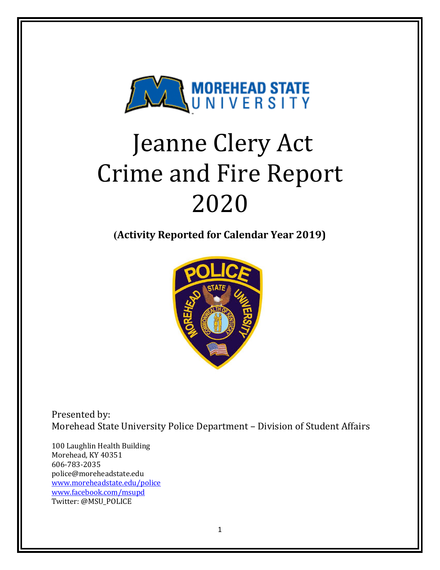

# Jeanne Clery Act **Crime and Fire Report** 2020

**(Activity Reported for Calendar Year 2019)**



Presented by: Morehead State University Police Department - Division of Student Affairs

100 Laughlin Health Building Morehead, KY 40351 606-783-2035 police@moreheadstate.edu www.moreheadstate.edu/police www.facebook.com/msupd Twitter: @MSU\_POLICE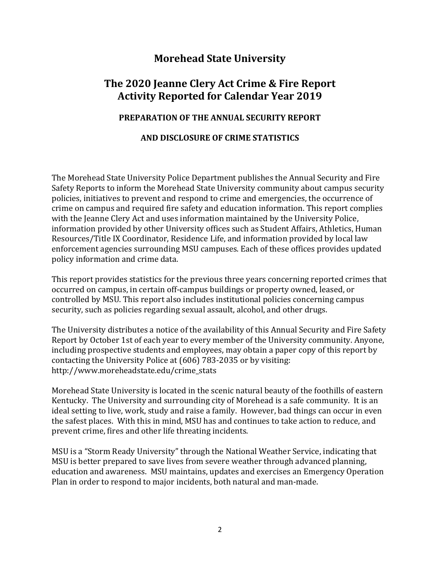# **Morehead State University**

# The 2020 **Jeanne Clery Act Crime & Fire Report Activity Reported for Calendar Year 2019**

#### **PREPARATION OF THE ANNUAL SECURITY REPORT**

#### **AND DISCLOSURE OF CRIME STATISTICS**

The Morehead State University Police Department publishes the Annual Security and Fire Safety Reports to inform the Morehead State University community about campus security policies, initiatives to prevent and respond to crime and emergencies, the occurrence of crime on campus and required fire safety and education information. This report complies with the Jeanne Clery Act and uses information maintained by the University Police, information provided by other University offices such as Student Affairs, Athletics, Human Resources/Title IX Coordinator, Residence Life, and information provided by local law enforcement agencies surrounding MSU campuses. Each of these offices provides updated policy information and crime data.

This report provides statistics for the previous three years concerning reported crimes that occurred on campus, in certain off-campus buildings or property owned, leased, or controlled by MSU. This report also includes institutional policies concerning campus security, such as policies regarding sexual assault, alcohol, and other drugs.

The University distributes a notice of the availability of this Annual Security and Fire Safety Report by October 1st of each year to every member of the University community. Anyone, including prospective students and employees, may obtain a paper copy of this report by contacting the University Police at  $(606)$  783-2035 or by visiting: http://www.moreheadstate.edu/crime\_stats

Morehead State University is located in the scenic natural beauty of the foothills of eastern Kentucky. The University and surrounding city of Morehead is a safe community. It is an ideal setting to live, work, study and raise a family. However, bad things can occur in even the safest places. With this in mind, MSU has and continues to take action to reduce, and prevent crime, fires and other life threating incidents.

MSU is a "Storm Ready University" through the National Weather Service, indicating that MSU is better prepared to save lives from severe weather through advanced planning, education and awareness. MSU maintains, updates and exercises an Emergency Operation Plan in order to respond to major incidents, both natural and man-made.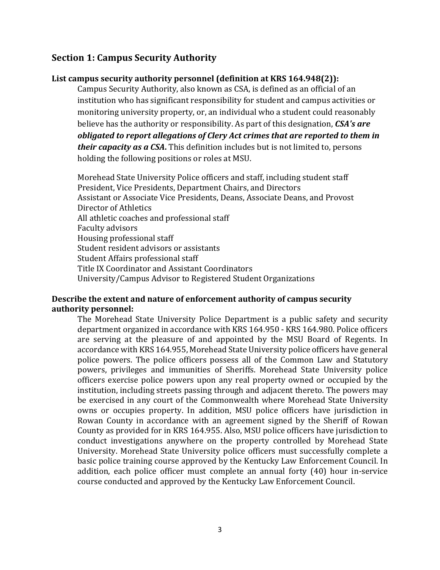## **Section 1: Campus Security Authority**

## List campus security authority personnel (definition at KRS 164.948(2)):

Campus Security Authority, also known as CSA, is defined as an official of an institution who has significant responsibility for student and campus activities or monitoring university property, or, an individual who a student could reasonably believe has the authority or responsibility. As part of this designation, *CSA's are obligated to report allegations of Clery Act crimes that are reported to them in their capacity as a CSA*. This definition includes but is not limited to, persons holding the following positions or roles at MSU.

Morehead State University Police officers and staff, including student staff President, Vice Presidents, Department Chairs, and Directors Assistant or Associate Vice Presidents, Deans, Associate Deans, and Provost Director of Athletics All athletic coaches and professional staff Faculty advisors Housing professional staff Student resident advisors or assistants Student Affairs professional staff Title IX Coordinator and Assistant Coordinators University/Campus Advisor to Registered Student Organizations

### **Describe the extent and nature of enforcement authority of campus security authority personnel:**

The Morehead State University Police Department is a public safety and security department organized in accordance with KRS 164.950 - KRS 164.980. Police officers are serving at the pleasure of and appointed by the MSU Board of Regents. In accordance with KRS 164.955, Morehead State University police officers have general police powers. The police officers possess all of the Common Law and Statutory powers, privileges and immunities of Sheriffs. Morehead State University police officers exercise police powers upon any real property owned or occupied by the institution, including streets passing through and adjacent thereto. The powers may be exercised in any court of the Commonwealth where Morehead State University owns or occupies property. In addition, MSU police officers have jurisdiction in Rowan County in accordance with an agreement signed by the Sheriff of Rowan County as provided for in KRS 164.955. Also, MSU police officers have jurisdiction to conduct investigations anywhere on the property controlled by Morehead State University. Morehead State University police officers must successfully complete a basic police training course approved by the Kentucky Law Enforcement Council. In addition, each police officer must complete an annual forty (40) hour in-service course conducted and approved by the Kentucky Law Enforcement Council.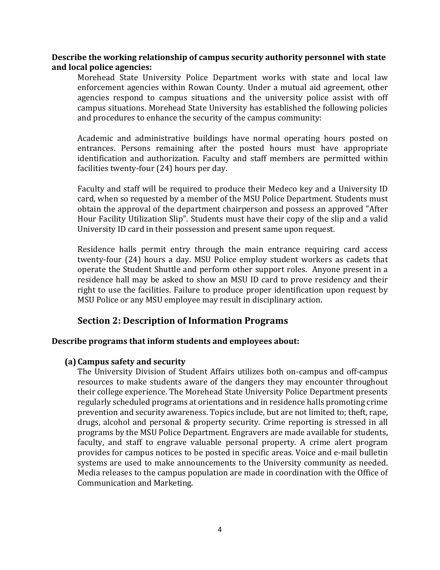#### **Describe the working relationship of campus security authority personnel with state and local police agencies:**

Morehead State University Police Department works with state and local law enforcement agencies within Rowan County. Under a mutual aid agreement, other agencies respond to campus situations and the university police assist with off campus situations. Morehead State University has established the following policies and procedures to enhance the security of the campus community:

Academic and administrative buildings have normal operating hours posted on entrances. Persons remaining after the posted hours must have appropriate identification and authorization. Faculty and staff members are permitted within facilities twenty-four  $(24)$  hours per day.

Faculty and staff will be required to produce their Medeco key and a University ID card, when so requested by a member of the MSU Police Department. Students must obtain the approval of the department chairperson and possess an approved "After Hour Facility Utilization Slip". Students must have their copy of the slip and a valid University ID card in their possession and present same upon request.

Residence halls permit entry through the main entrance requiring card access twenty-four (24) hours a day. MSU Police employ student workers as cadets that operate the Student Shuttle and perform other support roles. Anyone present in a residence hall may be asked to show an MSU ID card to prove residency and their right to use the facilities. Failure to produce proper identification upon request by MSU Police or any MSU employee may result in disciplinary action.

### **Section 2: Description of Information Programs**

#### **Describe programs that inform students and employees about:**

#### **(a) Campus safety and security**

The University Division of Student Affairs utilizes both on-campus and off-campus resources to make students aware of the dangers they may encounter throughout their college experience. The Morehead State University Police Department presents regularly scheduled programs at orientations and in residence halls promoting crime prevention and security awareness. Topics include, but are not limited to; theft, rape, drugs, alcohol and personal & property security. Crime reporting is stressed in all programs by the MSU Police Department. Engravers are made available for students, faculty, and staff to engrave valuable personal property. A crime alert program provides for campus notices to be posted in specific areas. Voice and e-mail bulletin systems are used to make announcements to the University community as needed. Media releases to the campus population are made in coordination with the Office of Communication and Marketing.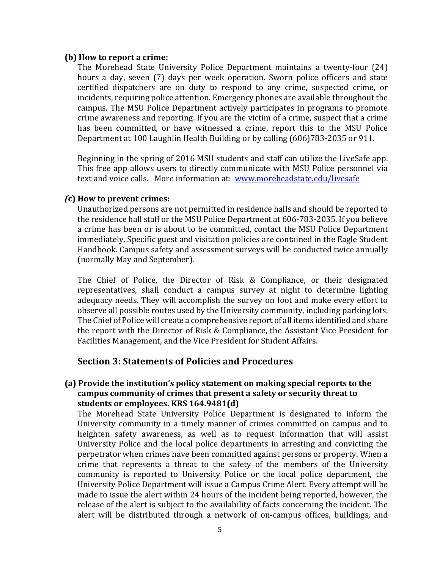#### **(b) How to report a crime:**

The Morehead State University Police Department maintains a twenty-four (24) hours a day, seven (7) days per week operation. Sworn police officers and state certified dispatchers are on duty to respond to any crime, suspected crime, or incidents, requiring police attention. Emergency phones are available throughout the campus. The MSU Police Department actively participates in programs to promote crime awareness and reporting. If you are the victim of a crime, suspect that a crime has been committed, or have witnessed a crime, report this to the MSU Police Department at 100 Laughlin Health Building or by calling (606)783-2035 or 911.

Beginning in the spring of 2016 MSU students and staff can utilize the LiveSafe app. This free app allows users to directly communicate with MSU Police personnel via text and voice calls. More information at: www.moreheadstate.edu/livesafe

#### *(***c) How to prevent crimes:**

Unauthorized persons are not permitted in residence halls and should be reported to the residence hall staff or the MSU Police Department at 606-783-2035. If you believe a crime has been or is about to be committed, contact the MSU Police Department immediately. Specific guest and visitation policies are contained in the Eagle Student Handbook. Campus safety and assessment surveys will be conducted twice annually (normally May and September).

The Chief of Police, the Director of Risk & Compliance, or their designated representatives, shall conduct a campus survey at night to determine lighting adequacy needs. They will accomplish the survey on foot and make every effort to observe all possible routes used by the University community, including parking lots. The Chief of Police will create a comprehensive report of all items identified and share the report with the Director of Risk & Compliance, the Assistant Vice President for Facilities Management, and the Vice President for Student Affairs.

### **Section 3: Statements of Policies and Procedures**

#### **(a)** Provide the institution's policy statement on making special reports to the campus community of crimes that present a safety or security threat to students or employees. KRS 164.9481(d)

The Morehead State University Police Department is designated to inform the University community in a timely manner of crimes committed on campus and to heighten safety awareness, as well as to request information that will assist University Police and the local police departments in arresting and convicting the perpetrator when crimes have been committed against persons or property. When a crime that represents a threat to the safety of the members of the University community is reported to University Police or the local police department, the University Police Department will issue a Campus Crime Alert. Every attempt will be made to issue the alert within 24 hours of the incident being reported, however, the release of the alert is subject to the availability of facts concerning the incident. The alert will be distributed through a network of on-campus offices, buildings, and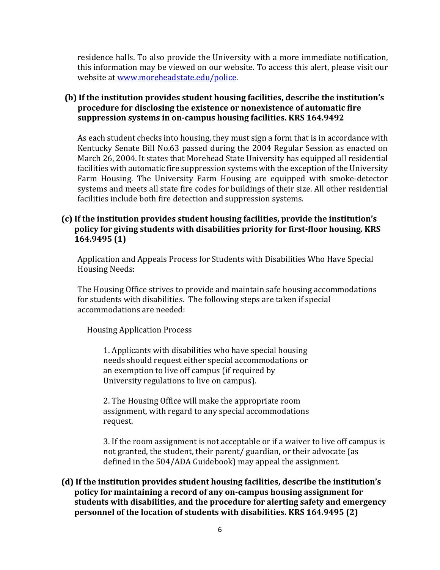residence halls. To also provide the University with a more immediate notification, this information may be viewed on our website. To access this alert, please visit our website at www.moreheadstate.edu/police.

## **(b)** If the institution provides student housing facilities, describe the institution's **procedure for disclosing the existence or nonexistence of automatic fire** suppression systems in on-campus housing facilities. KRS 164.9492

As each student checks into housing, they must sign a form that is in accordance with Kentucky Senate Bill No.63 passed during the 2004 Regular Session as enacted on March 26, 2004. It states that Morehead State University has equipped all residential facilities with automatic fire suppression systems with the exception of the University Farm Housing. The University Farm Housing are equipped with smoke-detector systems and meets all state fire codes for buildings of their size. All other residential facilities include both fire detection and suppression systems.

### **(c)** If the institution provides student housing facilities, provide the institution's policy for giving students with disabilities priority for first-floor housing. KRS **164.9495 (1)**

Application and Appeals Process for Students with Disabilities Who Have Special **Housing Needs:** 

The Housing Office strives to provide and maintain safe housing accommodations for students with disabilities. The following steps are taken if special accommodations are needed:

 Housing Application Process

1. Applicants with disabilities who have special housing needs should request either special accommodations or an exemption to live off campus (if required by University regulations to live on campus).

2. The Housing Office will make the appropriate room assignment, with regard to any special accommodations request.

3. If the room assignment is not acceptable or if a waiver to live off campus is not granted, the student, their parent/ guardian, or their advocate (as defined in the 504/ADA Guidebook) may appeal the assignment.

## (d) If the institution provides student housing facilities, describe the institution's **policy for maintaining a record of any on-campus housing assignment for** students with disabilities, and the procedure for alerting safety and emergency **personnel of the location of students with disabilities. KRS 164.9495 (2)**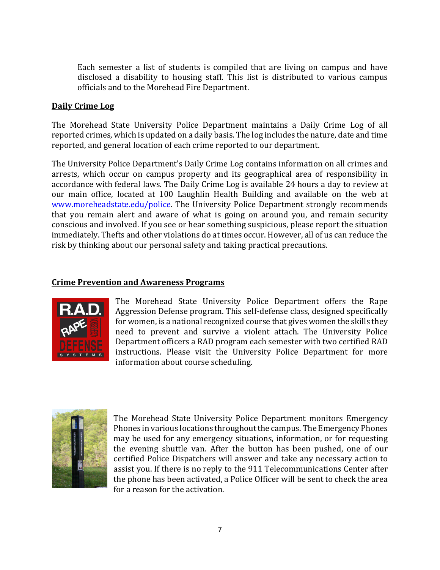Each semester a list of students is compiled that are living on campus and have disclosed a disability to housing staff. This list is distributed to various campus officials and to the Morehead Fire Department.

### **Daily Crime Log**

The Morehead State University Police Department maintains a Daily Crime Log of all reported crimes, which is updated on a daily basis. The log includes the nature, date and time reported, and general location of each crime reported to our department.

The University Police Department's Daily Crime Log contains information on all crimes and arrests, which occur on campus property and its geographical area of responsibility in accordance with federal laws. The Daily Crime Log is available 24 hours a day to review at our main office, located at 100 Laughlin Health Building and available on the web at www.moreheadstate.edu/police. The University Police Department strongly recommends that vou remain alert and aware of what is going on around you, and remain security conscious and involved. If you see or hear something suspicious, please report the situation immediately. Thefts and other violations do at times occur. However, all of us can reduce the risk by thinking about our personal safety and taking practical precautions.

#### **Crime Prevention and Awareness Programs**



The Morehead State University Police Department offers the Rape Aggression Defense program. This self-defense class, designed specifically for women, is a national recognized course that gives women the skills they need to prevent and survive a violent attach. The University Police Department officers a RAD program each semester with two certified RAD instructions. Please visit the University Police Department for more information about course scheduling.



The Morehead State University Police Department monitors Emergency Phones in various locations throughout the campus. The Emergency Phones may be used for any emergency situations, information, or for requesting the evening shuttle van. After the button has been pushed, one of our certified Police Dispatchers will answer and take any necessary action to assist you. If there is no reply to the 911 Telecommunications Center after the phone has been activated, a Police Officer will be sent to check the area for a reason for the activation.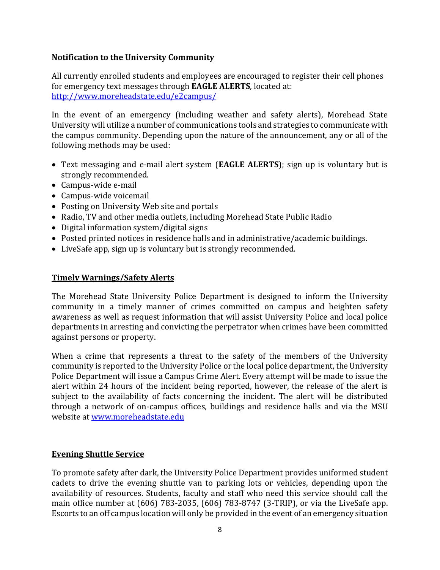## **Notification to the University Community**

All currently enrolled students and employees are encouraged to register their cell phones for emergency text messages through **EAGLE ALERTS**, located at: http://www.moreheadstate.edu/e2campus/

In the event of an emergency (including weather and safety alerts), Morehead State University will utilize a number of communications tools and strategies to communicate with the campus community. Depending upon the nature of the announcement, any or all of the following methods may be used:

- Text messaging and e-mail alert system (**EAGLE ALERTS**); sign up is voluntary but is strongly recommended.
- Campus-wide e-mail
- Campus-wide voicemail
- Posting on University Web site and portals
- Radio, TV and other media outlets, including Morehead State Public Radio
- Digital information system/digital signs
- Posted printed notices in residence halls and in administrative/academic buildings.
- LiveSafe app, sign up is voluntary but is strongly recommended.

#### **Timely Warnings/Safety Alerts**

The Morehead State University Police Department is designed to inform the University community in a timely manner of crimes committed on campus and heighten safety awareness as well as request information that will assist University Police and local police departments in arresting and convicting the perpetrator when crimes have been committed against persons or property.

When a crime that represents a threat to the safety of the members of the University community is reported to the University Police or the local police department, the University Police Department will issue a Campus Crime Alert. Every attempt will be made to issue the alert within 24 hours of the incident being reported, however, the release of the alert is subject to the availability of facts concerning the incident. The alert will be distributed through a network of on-campus offices, buildings and residence halls and via the MSU website at www.moreheadstate.edu

### **Evening Shuttle Service**

To promote safety after dark, the University Police Department provides uniformed student cadets to drive the evening shuttle van to parking lots or vehicles, depending upon the availability of resources. Students, faculty and staff who need this service should call the main office number at  $(606)$  783-2035,  $(606)$  783-8747  $(3-TRIP)$ , or via the LiveSafe app. Escorts to an off campus location will only be provided in the event of an emergency situation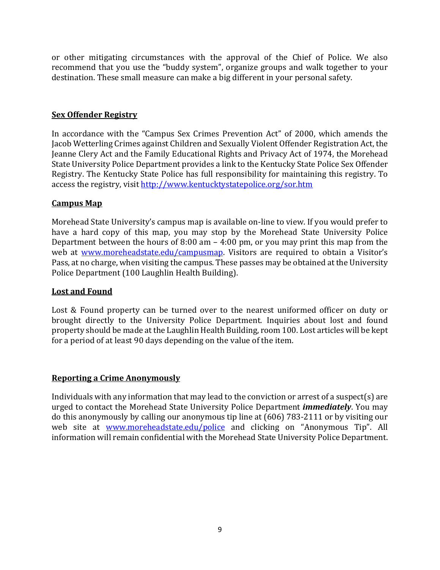or other mitigating circumstances with the approval of the Chief of Police. We also recommend that you use the "buddy system", organize groups and walk together to your destination. These small measure can make a big different in your personal safety.

## **Sex Offender Registry**

In accordance with the "Campus Sex Crimes Prevention Act" of 2000, which amends the Jacob Wetterling Crimes against Children and Sexually Violent Offender Registration Act, the Jeanne Clery Act and the Family Educational Rights and Privacy Act of 1974, the Morehead State University Police Department provides a link to the Kentucky State Police Sex Offender Registry. The Kentucky State Police has full responsibility for maintaining this registry. To access the registry, visit http://www.kentucktystatepolice.org/sor.htm

### **Campus Map**

Morehead State University's campus map is available on-line to view. If you would prefer to have a hard copy of this map, you may stop by the Morehead State University Police Department between the hours of 8:00 am  $-$  4:00 pm, or you may print this map from the web at www.moreheadstate.edu/campusmap. Visitors are required to obtain a Visitor's Pass, at no charge, when visiting the campus. These passes may be obtained at the University Police Department (100 Laughlin Health Building).

### **Lost and Found**

Lost & Found property can be turned over to the nearest uniformed officer on duty or brought directly to the University Police Department. Inquiries about lost and found property should be made at the Laughlin Health Building, room 100. Lost articles will be kept for a period of at least 90 days depending on the value of the item.

### **Reporting a Crime Anonymously**

Individuals with any information that may lead to the conviction or arrest of a suspect(s) are urged to contact the Morehead State University Police Department *immediately*. You may do this anonymously by calling our anonymous tip line at  $(606)$  783-2111 or by visiting our web site at www.moreheadstate.edu/police and clicking on "Anonymous Tip". All information will remain confidential with the Morehead State University Police Department.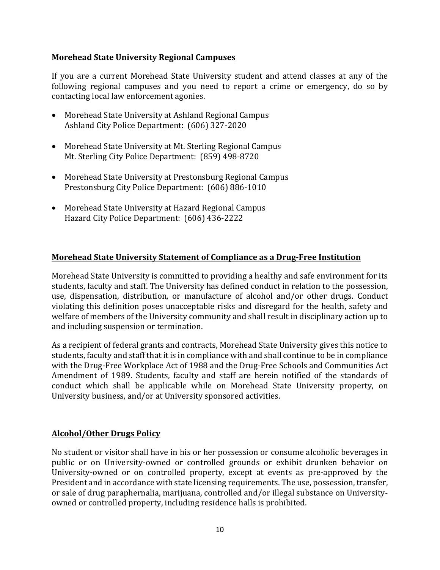#### **Morehead State University Regional Campuses**

If you are a current Morehead State University student and attend classes at any of the following regional campuses and you need to report a crime or emergency, do so by contacting local law enforcement agonies.

- Morehead State University at Ashland Regional Campus Ashland City Police Department: (606) 327-2020
- Morehead State University at Mt. Sterling Regional Campus Mt. Sterling City Police Department: (859) 498-8720
- Morehead State University at Prestonsburg Regional Campus Prestonsburg City Police Department: (606) 886-1010
- Morehead State University at Hazard Regional Campus Hazard City Police Department: (606) 436-2222

## **Morehead State University Statement of Compliance as a Drug-Free Institution**

Morehead State University is committed to providing a healthy and safe environment for its students, faculty and staff. The University has defined conduct in relation to the possession, use, dispensation, distribution, or manufacture of alcohol and/or other drugs. Conduct violating this definition poses unacceptable risks and disregard for the health, safety and welfare of members of the University community and shall result in disciplinary action up to and including suspension or termination.

As a recipient of federal grants and contracts, Morehead State University gives this notice to students, faculty and staff that it is in compliance with and shall continue to be in compliance with the Drug-Free Workplace Act of 1988 and the Drug-Free Schools and Communities Act Amendment of 1989. Students, faculty and staff are herein notified of the standards of conduct which shall be applicable while on Morehead State University property, on University business, and/or at University sponsored activities.

### **Alcohol/Other Drugs Policy**

No student or visitor shall have in his or her possession or consume alcoholic beverages in public or on University-owned or controlled grounds or exhibit drunken behavior on University-owned or on controlled property, except at events as pre-approved by the President and in accordance with state licensing requirements. The use, possession, transfer, or sale of drug paraphernalia, marijuana, controlled and/or illegal substance on Universityowned or controlled property, including residence halls is prohibited.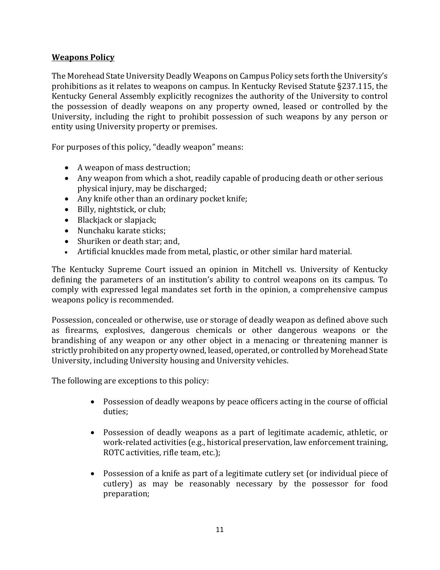## **Weapons Policy**

The Morehead State University Deadly Weapons on Campus Policy sets forth the University's prohibitions as it relates to weapons on campus. In Kentucky Revised Statute §237.115, the Kentucky General Assembly explicitly recognizes the authority of the University to control the possession of deadly weapons on any property owned, leased or controlled by the University, including the right to prohibit possession of such weapons by any person or entity using University property or premises.

For purposes of this policy, "deadly weapon" means:

- A weapon of mass destruction;
- Any weapon from which a shot, readily capable of producing death or other serious physical injury, may be discharged;
- Any knife other than an ordinary pocket knife;
- Billy, nightstick, or club;
- Blackjack or slapjack;
- Nunchaku karate sticks;
- Shuriken or death star; and,
- Artificial knuckles made from metal, plastic, or other similar hard material.

The Kentucky Supreme Court issued an opinion in Mitchell vs. University of Kentucky defining the parameters of an institution's ability to control weapons on its campus. To comply with expressed legal mandates set forth in the opinion, a comprehensive campus weapons policy is recommended.

Possession, concealed or otherwise, use or storage of deadly weapon as defined above such as firearms, explosives, dangerous chemicals or other dangerous weapons or the brandishing of any weapon or any other object in a menacing or threatening manner is strictly prohibited on any property owned, leased, operated, or controlled by Morehead State University, including University housing and University vehicles.

The following are exceptions to this policy:

- Possession of deadly weapons by peace officers acting in the course of official duties;
- Possession of deadly weapons as a part of legitimate academic, athletic, or work-related activities (e.g., historical preservation, law enforcement training, ROTC activities, rifle team, etc.);
- Possession of a knife as part of a legitimate cutlery set (or individual piece of cutlery) as may be reasonably necessary by the possessor for food preparation;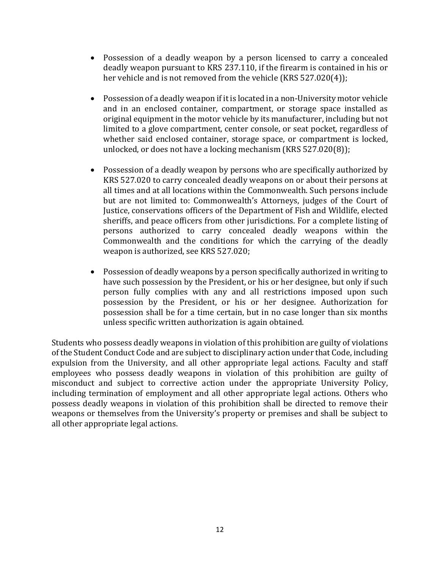- Possession of a deadly weapon by a person licensed to carry a concealed deadly weapon pursuant to KRS 237.110, if the firearm is contained in his or her vehicle and is not removed from the vehicle  $(KRS 527.020(4))$ ;
- Possession of a deadly weapon if it is located in a non-University motor vehicle and in an enclosed container, compartment, or storage space installed as original equipment in the motor vehicle by its manufacturer, including but not limited to a glove compartment, center console, or seat pocket, regardless of whether said enclosed container, storage space, or compartment is locked, unlocked, or does not have a locking mechanism  $(KRS 527.020(8))$ ;
- Possession of a deadly weapon by persons who are specifically authorized by KRS 527.020 to carry concealed deadly weapons on or about their persons at all times and at all locations within the Commonwealth. Such persons include but are not limited to: Commonwealth's Attorneys, judges of the Court of Justice, conservations officers of the Department of Fish and Wildlife, elected sheriffs, and peace officers from other jurisdictions. For a complete listing of persons authorized to carry concealed deadly weapons within the Commonwealth and the conditions for which the carrying of the deadly weapon is authorized, see KRS 527.020;
- Possession of deadly weapons by a person specifically authorized in writing to have such possession by the President, or his or her designee, but only if such person fully complies with any and all restrictions imposed upon such possession by the President, or his or her designee. Authorization for possession shall be for a time certain, but in no case longer than six months unless specific written authorization is again obtained.

Students who possess deadly weapons in violation of this prohibition are guilty of violations of the Student Conduct Code and are subject to disciplinary action under that Code, including expulsion from the University, and all other appropriate legal actions. Faculty and staff employees who possess deadly weapons in violation of this prohibition are guilty of misconduct and subject to corrective action under the appropriate University Policy, including termination of employment and all other appropriate legal actions. Others who possess deadly weapons in violation of this prohibition shall be directed to remove their weapons or themselves from the University's property or premises and shall be subject to all other appropriate legal actions.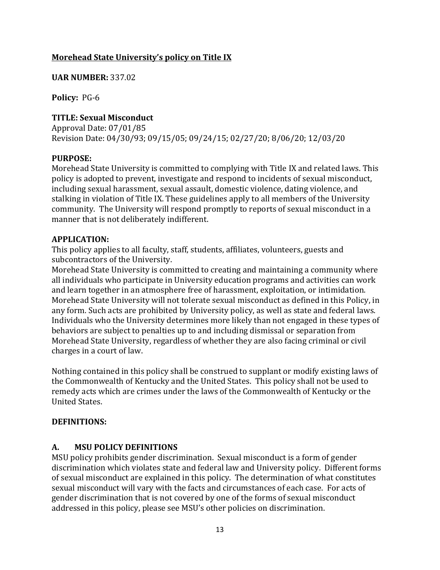## **Morehead State University's policy on Title IX**

#### **UAR NUMBER:** 337.02

**Policy: PG-6** 

## **TITLE: Sexual Misconduct**

Approval Date: 07/01/85 Revision Date: 04/30/93; 09/15/05; 09/24/15; 02/27/20; 8/06/20; 12/03/20

### **PURPOSE:**

Morehead State University is committed to complying with Title IX and related laws. This policy is adopted to prevent, investigate and respond to incidents of sexual misconduct, including sexual harassment, sexual assault, domestic violence, dating violence, and stalking in violation of Title IX. These guidelines apply to all members of the University community. The University will respond promptly to reports of sexual misconduct in a manner that is not deliberately indifferent.

#### **APPLICATION:**

This policy applies to all faculty, staff, students, affiliates, volunteers, guests and subcontractors of the University.

Morehead State University is committed to creating and maintaining a community where all individuals who participate in University education programs and activities can work and learn together in an atmosphere free of harassment, exploitation, or intimidation. Morehead State University will not tolerate sexual misconduct as defined in this Policy, in any form. Such acts are prohibited by University policy, as well as state and federal laws. Individuals who the University determines more likely than not engaged in these types of behaviors are subject to penalties up to and including dismissal or separation from Morehead State University, regardless of whether they are also facing criminal or civil charges in a court of law.

Nothing contained in this policy shall be construed to supplant or modify existing laws of the Commonwealth of Kentucky and the United States. This policy shall not be used to remedy acts which are crimes under the laws of the Commonwealth of Kentucky or the United States.

### **DEFINITIONS:**

### **A. MSU POLICY DEFINITIONS**

MSU policy prohibits gender discrimination. Sexual misconduct is a form of gender discrimination which violates state and federal law and University policy. Different forms of sexual misconduct are explained in this policy. The determination of what constitutes sexual misconduct will vary with the facts and circumstances of each case. For acts of gender discrimination that is not covered by one of the forms of sexual misconduct addressed in this policy, please see MSU's other policies on discrimination.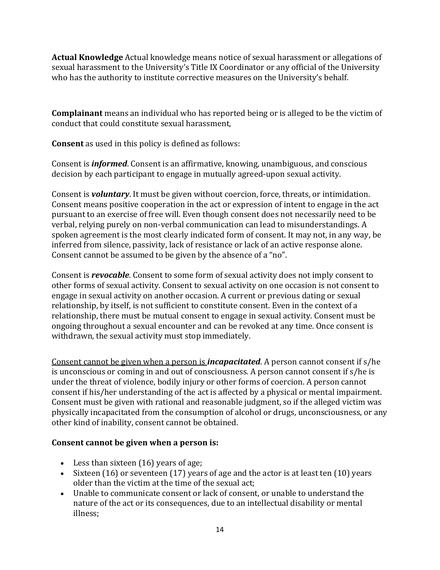**Actual Knowledge** Actual knowledge means notice of sexual harassment or allegations of sexual harassment to the University's Title IX Coordinator or any official of the University who has the authority to institute corrective measures on the University's behalf.

**Complainant** means an individual who has reported being or is alleged to be the victim of conduct that could constitute sexual harassment.

**Consent** as used in this policy is defined as follows:

Consent is *informed*. Consent is an affirmative, knowing, unambiguous, and conscious decision by each participant to engage in mutually agreed-upon sexual activity.

Consent is *voluntary*. It must be given without coercion, force, threats, or intimidation. Consent means positive cooperation in the act or expression of intent to engage in the act pursuant to an exercise of free will. Even though consent does not necessarily need to be verbal, relying purely on non-verbal communication can lead to misunderstandings. A spoken agreement is the most clearly indicated form of consent. It may not, in any way, be inferred from silence, passivity, lack of resistance or lack of an active response alone. Consent cannot be assumed to be given by the absence of a "no".

Consent is *revocable*. Consent to some form of sexual activity does not imply consent to other forms of sexual activity. Consent to sexual activity on one occasion is not consent to engage in sexual activity on another occasion. A current or previous dating or sexual relationship, by itself, is not sufficient to constitute consent. Even in the context of a relationship, there must be mutual consent to engage in sexual activity. Consent must be ongoing throughout a sexual encounter and can be revoked at any time. Once consent is withdrawn, the sexual activity must stop immediately.

Consent cannot be given when a person is *incapacitated*. A person cannot consent if s/he is unconscious or coming in and out of consciousness. A person cannot consent if  $s/$ he is under the threat of violence, bodily injury or other forms of coercion. A person cannot consent if his/her understanding of the act is affected by a physical or mental impairment. Consent must be given with rational and reasonable judgment, so if the alleged victim was physically incapacitated from the consumption of alcohol or drugs, unconsciousness, or any other kind of inability, consent cannot be obtained.

### **Consent cannot be given when a person is:**

- Less than sixteen (16) years of age;
- Sixteen  $(16)$  or seventeen  $(17)$  years of age and the actor is at least ten  $(10)$  years older than the victim at the time of the sexual act;
- Unable to communicate consent or lack of consent, or unable to understand the nature of the act or its consequences, due to an intellectual disability or mental illness;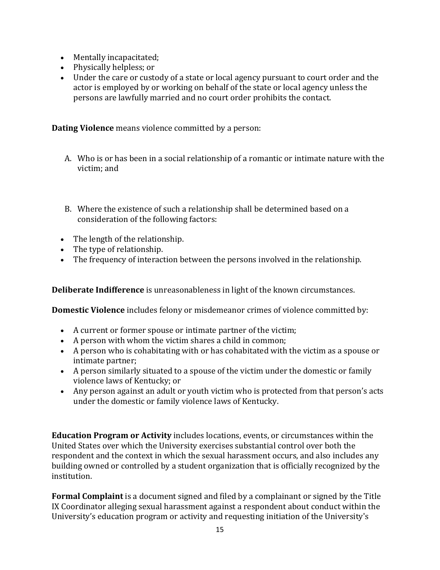- Mentally incapacitated;
- Physically helpless; or
- Under the care or custody of a state or local agency pursuant to court order and the actor is employed by or working on behalf of the state or local agency unless the persons are lawfully married and no court order prohibits the contact.

**Dating Violence** means violence committed by a person:

- A. Who is or has been in a social relationship of a romantic or intimate nature with the victim; and
- B. Where the existence of such a relationship shall be determined based on a consideration of the following factors:
- $\bullet$  The length of the relationship.
- The type of relationship.
- The frequency of interaction between the persons involved in the relationship.

**Deliberate Indifference** is unreasonableness in light of the known circumstances.

**Domestic Violence** includes felony or misdemeanor crimes of violence committed by:

- A current or former spouse or intimate partner of the victim;
- A person with whom the victim shares a child in common;
- A person who is cohabitating with or has cohabitated with the victim as a spouse or intimate partner;
- A person similarly situated to a spouse of the victim under the domestic or family violence laws of Kentucky; or
- Any person against an adult or youth victim who is protected from that person's acts under the domestic or family violence laws of Kentucky.

**Education Program or Activity** includes locations, events, or circumstances within the United States over which the University exercises substantial control over both the respondent and the context in which the sexual harassment occurs, and also includes any building owned or controlled by a student organization that is officially recognized by the institution.

**Formal Complaint** is a document signed and filed by a complainant or signed by the Title IX Coordinator alleging sexual harassment against a respondent about conduct within the University's education program or activity and requesting initiation of the University's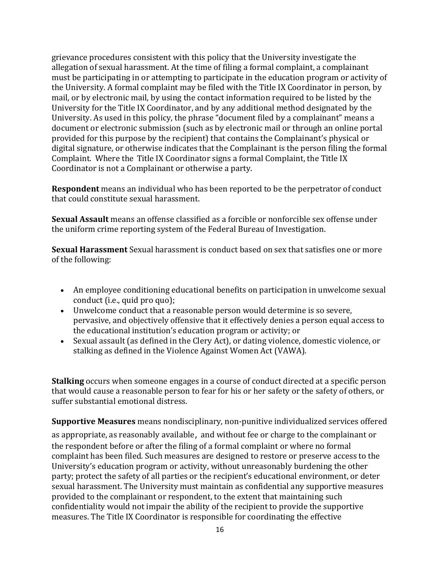grievance procedures consistent with this policy that the University investigate the allegation of sexual harassment. At the time of filing a formal complaint, a complainant must be participating in or attempting to participate in the education program or activity of the University. A formal complaint may be filed with the Title IX Coordinator in person, by mail, or by electronic mail, by using the contact information required to be listed by the University for the Title IX Coordinator, and by any additional method designated by the University. As used in this policy, the phrase "document filed by a complainant" means a document or electronic submission (such as by electronic mail or through an online portal provided for this purpose by the recipient) that contains the Complainant's physical or digital signature, or otherwise indicates that the Complainant is the person filing the formal Complaint. Where the Title IX Coordinator signs a formal Complaint, the Title IX Coordinator is not a Complainant or otherwise a party.

**Respondent** means an individual who has been reported to be the perpetrator of conduct that could constitute sexual harassment.

**Sexual Assault** means an offense classified as a forcible or nonforcible sex offense under the uniform crime reporting system of the Federal Bureau of Investigation.

**Sexual Harassment** Sexual harassment is conduct based on sex that satisfies one or more of the following:

- An employee conditioning educational benefits on participation in unwelcome sexual conduct (i.e., quid pro quo);
- Unwelcome conduct that a reasonable person would determine is so severe, pervasive, and objectively offensive that it effectively denies a person equal access to the educational institution's education program or activity; or
- Sexual assault (as defined in the Clery Act), or dating violence, domestic violence, or stalking as defined in the Violence Against Women Act (VAWA).

**Stalking** occurs when someone engages in a course of conduct directed at a specific person that would cause a reasonable person to fear for his or her safety or the safety of others, or suffer substantial emotional distress.

**Supportive Measures** means nondisciplinary, non-punitive individualized services offered

as appropriate, as reasonably available, and without fee or charge to the complainant or the respondent before or after the filing of a formal complaint or where no formal complaint has been filed. Such measures are designed to restore or preserve access to the University's education program or activity, without unreasonably burdening the other party; protect the safety of all parties or the recipient's educational environment, or deter sexual harassment. The University must maintain as confidential any supportive measures provided to the complainant or respondent, to the extent that maintaining such confidentiality would not impair the ability of the recipient to provide the supportive measures. The Title IX Coordinator is responsible for coordinating the effective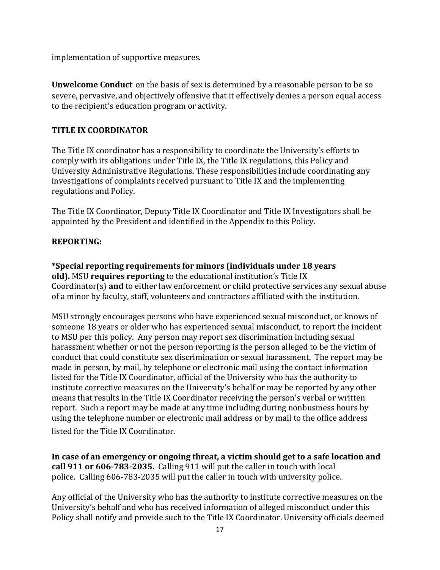implementation of supportive measures.

**Unwelcome Conduct** on the basis of sex is determined by a reasonable person to be so severe, pervasive, and objectively offensive that it effectively denies a person equal access to the recipient's education program or activity.

## **TITLE IX COORDINATOR**

The Title IX coordinator has a responsibility to coordinate the University's efforts to comply with its obligations under Title IX, the Title IX regulations, this Policy and University Administrative Regulations. These responsibilities include coordinating any investigations of complaints received pursuant to Title IX and the implementing regulations and Policy.

The Title IX Coordinator, Deputy Title IX Coordinator and Title IX Investigators shall be appointed by the President and identified in the Appendix to this Policy.

### **REPORTING:**

**\*Special reporting requirements for minors (individuals under 18 years old).** MSU **requires reporting** to the educational institution's Title IX Coordinator(s) and to either law enforcement or child protective services any sexual abuse of a minor by faculty, staff, volunteers and contractors affiliated with the institution.

MSU strongly encourages persons who have experienced sexual misconduct, or knows of someone 18 years or older who has experienced sexual misconduct, to report the incident to MSU per this policy. Any person may report sex discrimination including sexual harassment whether or not the person reporting is the person alleged to be the victim of conduct that could constitute sex discrimination or sexual harassment. The report may be made in person, by mail, by telephone or electronic mail using the contact information listed for the Title IX Coordinator, official of the University who has the authority to institute corrective measures on the University's behalf or may be reported by any other means that results in the Title IX Coordinator receiving the person's verbal or written report. Such a report may be made at any time including during nonbusiness hours by using the telephone number or electronic mail address or by mail to the office address listed for the Title IX Coordinator.

In case of an emergency or ongoing threat, a victim should get to a safe location and **call 911 or 606-783-2035.** Calling 911 will put the caller in touch with local police. Calling 606-783-2035 will put the caller in touch with university police.

Any official of the University who has the authority to institute corrective measures on the University's behalf and who has received information of alleged misconduct under this Policy shall notify and provide such to the Title IX Coordinator. University officials deemed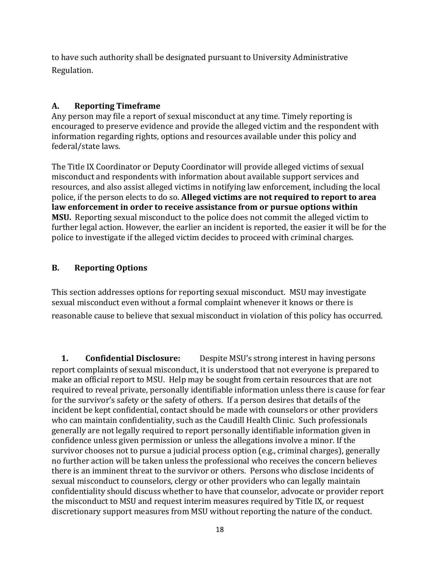to have such authority shall be designated pursuant to University Administrative Regulation.

## **A. Reporting Timeframe**

Any person may file a report of sexual misconduct at any time. Timely reporting is encouraged to preserve evidence and provide the alleged victim and the respondent with information regarding rights, options and resources available under this policy and federal/state laws.

The Title IX Coordinator or Deputy Coordinator will provide alleged victims of sexual misconduct and respondents with information about available support services and resources, and also assist alleged victims in notifying law enforcement, including the local police, if the person elects to do so. **Alleged victims are not required to report to area** law enforcement in order to receive assistance from or pursue options within **MSU.** Reporting sexual misconduct to the police does not commit the alleged victim to further legal action. However, the earlier an incident is reported, the easier it will be for the police to investigate if the alleged victim decides to proceed with criminal charges.

## **B. Reporting Options**

This section addresses options for reporting sexual misconduct. MSU may investigate sexual misconduct even without a formal complaint whenever it knows or there is reasonable cause to believe that sexual misconduct in violation of this policy has occurred.

**1. Confidential Disclosure:** Despite MSU's strong interest in having persons report complaints of sexual misconduct, it is understood that not everyone is prepared to make an official report to MSU. Help may be sought from certain resources that are not required to reveal private, personally identifiable information unless there is cause for fear for the survivor's safety or the safety of others. If a person desires that details of the incident be kept confidential, contact should be made with counselors or other providers who can maintain confidentiality, such as the Caudill Health Clinic. Such professionals generally are not legally required to report personally identifiable information given in confidence unless given permission or unless the allegations involve a minor. If the survivor chooses not to pursue a judicial process option (e.g., criminal charges), generally no further action will be taken unless the professional who receives the concern believes there is an imminent threat to the survivor or others. Persons who disclose incidents of sexual misconduct to counselors, clergy or other providers who can legally maintain confidentiality should discuss whether to have that counselor, advocate or provider report the misconduct to MSU and request interim measures required by Title IX, or request discretionary support measures from MSU without reporting the nature of the conduct.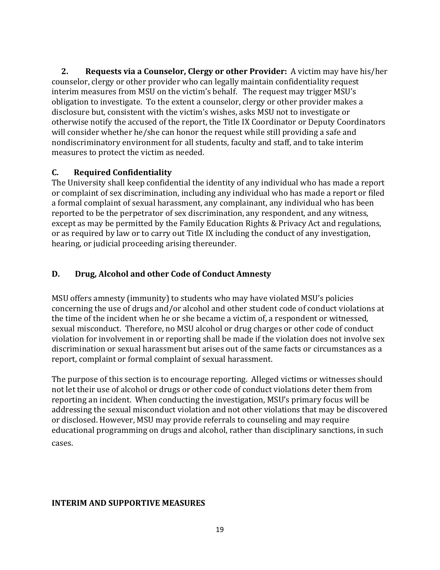**2.** Requests via a Counselor, Clergy or other Provider: A victim may have his/her counselor, clergy or other provider who can legally maintain confidentiality request interim measures from MSU on the victim's behalf. The request may trigger MSU's obligation to investigate. To the extent a counselor, clergy or other provider makes a disclosure but, consistent with the victim's wishes, asks MSU not to investigate or otherwise notify the accused of the report, the Title IX Coordinator or Deputy Coordinators will consider whether he/she can honor the request while still providing a safe and nondiscriminatory environment for all students, faculty and staff, and to take interim measures to protect the victim as needed.

## **C. Required Confidentiality**

The University shall keep confidential the identity of any individual who has made a report or complaint of sex discrimination, including any individual who has made a report or filed a formal complaint of sexual harassment, any complainant, any individual who has been reported to be the perpetrator of sex discrimination, any respondent, and any witness, except as may be permitted by the Family Education Rights & Privacy Act and regulations, or as required by law or to carry out Title IX including the conduct of any investigation, hearing, or judicial proceeding arising thereunder.

## **D. Drug, Alcohol and other Code of Conduct Amnesty**

MSU offers amnesty (immunity) to students who may have violated MSU's policies concerning the use of drugs and/or alcohol and other student code of conduct violations at the time of the incident when he or she became a victim of, a respondent or witnessed, sexual misconduct. Therefore, no MSU alcohol or drug charges or other code of conduct violation for involvement in or reporting shall be made if the violation does not involve sex discrimination or sexual harassment but arises out of the same facts or circumstances as a report, complaint or formal complaint of sexual harassment.

The purpose of this section is to encourage reporting. Alleged victims or witnesses should not let their use of alcohol or drugs or other code of conduct violations deter them from reporting an incident. When conducting the investigation, MSU's primary focus will be addressing the sexual misconduct violation and not other violations that may be discovered or disclosed. However, MSU may provide referrals to counseling and may require educational programming on drugs and alcohol, rather than disciplinary sanctions, in such cases.

## **INTERIM AND SUPPORTIVE MEASURES**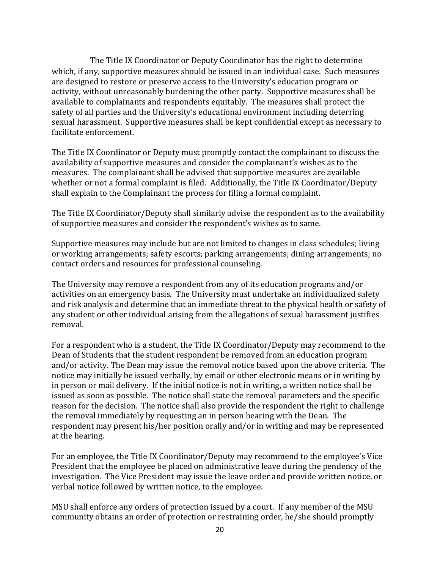The Title IX Coordinator or Deputy Coordinator has the right to determine which, if any, supportive measures should be issued in an individual case. Such measures are designed to restore or preserve access to the University's education program or activity, without unreasonably burdening the other party. Supportive measures shall be available to complainants and respondents equitably. The measures shall protect the safety of all parties and the University's educational environment including deterring sexual harassment. Supportive measures shall be kept confidential except as necessary to facilitate enforcement.

The Title IX Coordinator or Deputy must promptly contact the complainant to discuss the availability of supportive measures and consider the complainant's wishes as to the measures. The complainant shall be advised that supportive measures are available whether or not a formal complaint is filed. Additionally, the Title IX Coordinator/Deputy shall explain to the Complainant the process for filing a formal complaint.

The Title IX Coordinator/Deputy shall similarly advise the respondent as to the availability of supportive measures and consider the respondent's wishes as to same.

Supportive measures may include but are not limited to changes in class schedules; living or working arrangements; safety escorts; parking arrangements; dining arrangements; no contact orders and resources for professional counseling.

The University may remove a respondent from any of its education programs and/or activities on an emergency basis. The University must undertake an individualized safety and risk analysis and determine that an immediate threat to the physical health or safety of any student or other individual arising from the allegations of sexual harassment justifies removal.

For a respondent who is a student, the Title IX Coordinator/Deputy may recommend to the Dean of Students that the student respondent be removed from an education program and/or activity. The Dean may issue the removal notice based upon the above criteria. The notice may initially be issued verbally, by email or other electronic means or in writing by in person or mail delivery. If the initial notice is not in writing, a written notice shall be issued as soon as possible. The notice shall state the removal parameters and the specific reason for the decision. The notice shall also provide the respondent the right to challenge the removal immediately by requesting an in person hearing with the Dean. The respondent may present his/her position orally and/or in writing and may be represented at the hearing.

For an employee, the Title IX Coordinator/Deputy may recommend to the employee's Vice President that the employee be placed on administrative leave during the pendency of the investigation. The Vice President may issue the leave order and provide written notice, or verbal notice followed by written notice, to the employee.

MSU shall enforce any orders of protection issued by a court. If any member of the MSU community obtains an order of protection or restraining order, he/she should promptly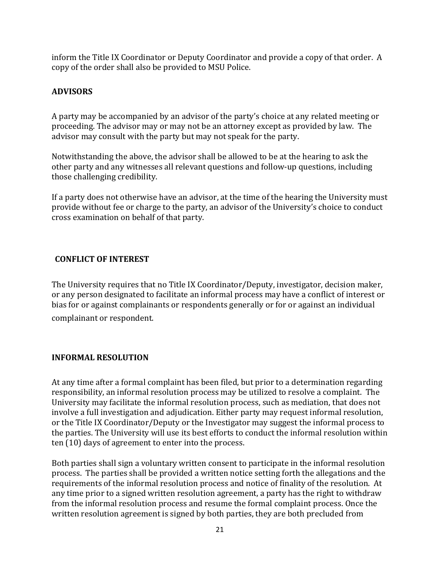inform the Title IX Coordinator or Deputy Coordinator and provide a copy of that order. A copy of the order shall also be provided to MSU Police.

## **ADVISORS**

A party may be accompanied by an advisor of the party's choice at any related meeting or proceeding. The advisor may or may not be an attorney except as provided by law. The advisor may consult with the party but may not speak for the party.

Notwithstanding the above, the advisor shall be allowed to be at the hearing to ask the other party and any witnesses all relevant questions and follow-up questions, including those challenging credibility.

If a party does not otherwise have an advisor, at the time of the hearing the University must provide without fee or charge to the party, an advisor of the University's choice to conduct cross examination on behalf of that party.

## **CONFLICT OF INTEREST**

The University requires that no Title IX Coordinator/Deputy, investigator, decision maker, or any person designated to facilitate an informal process may have a conflict of interest or bias for or against complainants or respondents generally or for or against an individual complainant or respondent.

### **INFORMAL RESOLUTION**

At any time after a formal complaint has been filed, but prior to a determination regarding responsibility, an informal resolution process may be utilized to resolve a complaint. The University may facilitate the informal resolution process, such as mediation, that does not involve a full investigation and adjudication. Either party may request informal resolution, or the Title IX Coordinator/Deputy or the Investigator may suggest the informal process to the parties. The University will use its best efforts to conduct the informal resolution within ten (10) days of agreement to enter into the process.

Both parties shall sign a voluntary written consent to participate in the informal resolution process. The parties shall be provided a written notice setting forth the allegations and the requirements of the informal resolution process and notice of finality of the resolution. At any time prior to a signed written resolution agreement, a party has the right to withdraw from the informal resolution process and resume the formal complaint process. Once the written resolution agreement is signed by both parties, they are both precluded from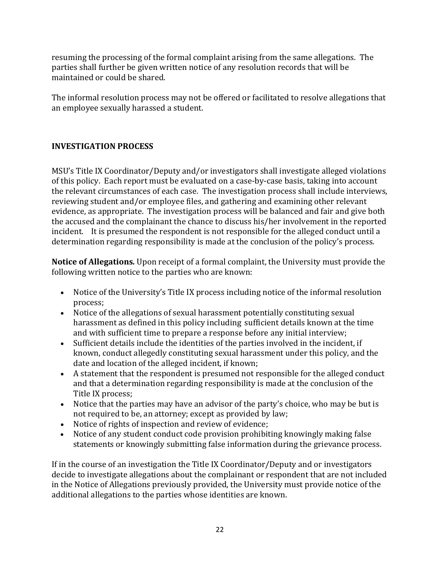resuming the processing of the formal complaint arising from the same allegations. The parties shall further be given written notice of any resolution records that will be maintained or could be shared.

The informal resolution process may not be offered or facilitated to resolve allegations that an employee sexually harassed a student.

## **INVESTIGATION PROCESS**

MSU's Title IX Coordinator/Deputy and/or investigators shall investigate alleged violations of this policy. Each report must be evaluated on a case-by-case basis, taking into account the relevant circumstances of each case. The investigation process shall include interviews, reviewing student and/or employee files, and gathering and examining other relevant evidence, as appropriate. The investigation process will be balanced and fair and give both the accused and the complainant the chance to discuss his/her involvement in the reported incident. It is presumed the respondent is not responsible for the alleged conduct until a determination regarding responsibility is made at the conclusion of the policy's process.

**Notice of Allegations.** Upon receipt of a formal complaint, the University must provide the following written notice to the parties who are known:

- Notice of the University's Title IX process including notice of the informal resolution process;
- Notice of the allegations of sexual harassment potentially constituting sexual harassment as defined in this policy including sufficient details known at the time and with sufficient time to prepare a response before any initial interview;
- Sufficient details include the identities of the parties involved in the incident, if known, conduct allegedly constituting sexual harassment under this policy, and the date and location of the alleged incident, if known;
- A statement that the respondent is presumed not responsible for the alleged conduct and that a determination regarding responsibility is made at the conclusion of the Title IX process;
- Notice that the parties may have an advisor of the party's choice, who may be but is not required to be, an attorney; except as provided by law;
- Notice of rights of inspection and review of evidence;
- Notice of any student conduct code provision prohibiting knowingly making false statements or knowingly submitting false information during the grievance process.

If in the course of an investigation the Title IX Coordinator/Deputy and or investigators decide to investigate allegations about the complainant or respondent that are not included in the Notice of Allegations previously provided, the University must provide notice of the additional allegations to the parties whose identities are known.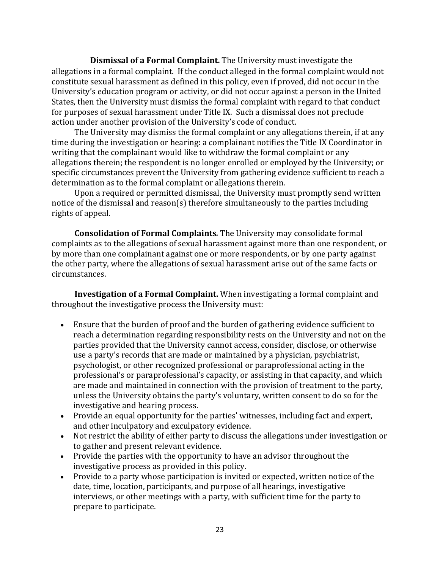**Dismissal of a Formal Complaint.** The University must investigate the allegations in a formal complaint. If the conduct alleged in the formal complaint would not constitute sexual harassment as defined in this policy, even if proved, did not occur in the University's education program or activity, or did not occur against a person in the United States, then the University must dismiss the formal complaint with regard to that conduct for purposes of sexual harassment under Title IX. Such a dismissal does not preclude action under another provision of the University's code of conduct.

The University may dismiss the formal complaint or any allegations therein, if at any time during the investigation or hearing: a complainant notifies the Title IX Coordinator in writing that the complainant would like to withdraw the formal complaint or any allegations therein; the respondent is no longer enrolled or employed by the University; or specific circumstances prevent the University from gathering evidence sufficient to reach a determination as to the formal complaint or allegations therein.

Upon a required or permitted dismissal, the University must promptly send written notice of the dismissal and reason(s) therefore simultaneously to the parties including rights of appeal.

**Consolidation of Formal Complaints**. The University may consolidate formal complaints as to the allegations of sexual harassment against more than one respondent, or by more than one complainant against one or more respondents, or by one party against the other party, where the allegations of sexual harassment arise out of the same facts or circumstances.

**Investigation of a Formal Complaint.** When investigating a formal complaint and throughout the investigative process the University must:

- Ensure that the burden of proof and the burden of gathering evidence sufficient to reach a determination regarding responsibility rests on the University and not on the parties provided that the University cannot access, consider, disclose, or otherwise use a party's records that are made or maintained by a physician, psychiatrist, psychologist, or other recognized professional or paraprofessional acting in the professional's or paraprofessional's capacity, or assisting in that capacity, and which are made and maintained in connection with the provision of treatment to the party, unless the University obtains the party's voluntary, written consent to do so for the investigative and hearing process.
- Provide an equal opportunity for the parties' witnesses, including fact and expert, and other inculpatory and exculpatory evidence.
- Not restrict the ability of either party to discuss the allegations under investigation or to gather and present relevant evidence.
- Provide the parties with the opportunity to have an advisor throughout the investigative process as provided in this policy.
- Provide to a party whose participation is invited or expected, written notice of the date, time, location, participants, and purpose of all hearings, investigative interviews, or other meetings with a party, with sufficient time for the party to prepare to participate.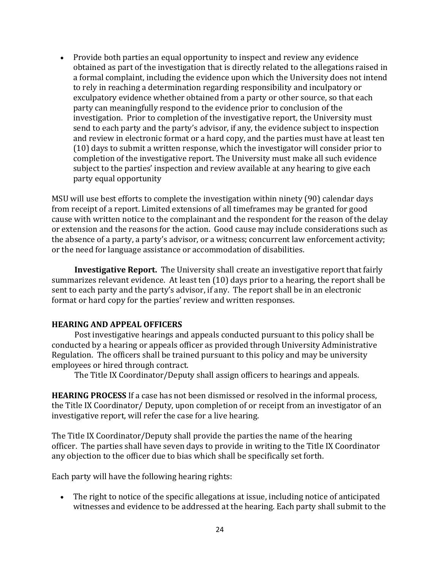• Provide both parties an equal opportunity to inspect and review any evidence obtained as part of the investigation that is directly related to the allegations raised in a formal complaint, including the evidence upon which the University does not intend to rely in reaching a determination regarding responsibility and inculpatory or exculpatory evidence whether obtained from a party or other source, so that each party can meaningfully respond to the evidence prior to conclusion of the investigation. Prior to completion of the investigative report, the University must send to each party and the party's advisor, if any, the evidence subject to inspection and review in electronic format or a hard copy, and the parties must have at least ten  $(10)$  days to submit a written response, which the investigator will consider prior to completion of the investigative report. The University must make all such evidence subject to the parties' inspection and review available at any hearing to give each party equal opportunity

MSU will use best efforts to complete the investigation within ninety (90) calendar days from receipt of a report. Limited extensions of all timeframes may be granted for good cause with written notice to the complainant and the respondent for the reason of the delay or extension and the reasons for the action. Good cause may include considerations such as the absence of a party, a party's advisor, or a witness; concurrent law enforcement activity; or the need for language assistance or accommodation of disabilities.

**Investigative Report.** The University shall create an investigative report that fairly summarizes relevant evidence. At least ten  $(10)$  days prior to a hearing, the report shall be sent to each party and the party's advisor, if any. The report shall be in an electronic format or hard copy for the parties' review and written responses.

#### **HEARING AND APPEAL OFFICERS**

Post investigative hearings and appeals conducted pursuant to this policy shall be conducted by a hearing or appeals officer as provided through University Administrative Regulation. The officers shall be trained pursuant to this policy and may be university employees or hired through contract.

The Title IX Coordinator/Deputy shall assign officers to hearings and appeals.

**HEARING PROCESS** If a case has not been dismissed or resolved in the informal process, the Title IX Coordinator/ Deputy, upon completion of or receipt from an investigator of an investigative report, will refer the case for a live hearing.

The Title IX Coordinator/Deputy shall provide the parties the name of the hearing officer. The parties shall have seven days to provide in writing to the Title IX Coordinator any objection to the officer due to bias which shall be specifically set forth.

Each party will have the following hearing rights:

• The right to notice of the specific allegations at issue, including notice of anticipated witnesses and evidence to be addressed at the hearing. Each party shall submit to the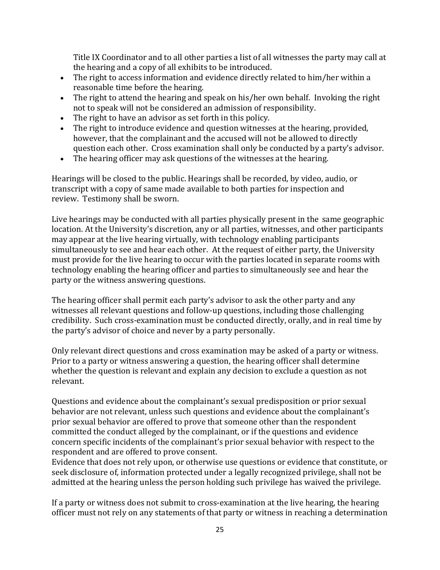Title IX Coordinator and to all other parties a list of all witnesses the party may call at the hearing and a copy of all exhibits to be introduced.

- The right to access information and evidence directly related to him/her within a reasonable time before the hearing.
- The right to attend the hearing and speak on his/her own behalf. Invoking the right not to speak will not be considered an admission of responsibility.
- The right to have an advisor as set forth in this policy.
- The right to introduce evidence and question witnesses at the hearing, provided, however, that the complainant and the accused will not be allowed to directly question each other. Cross examination shall only be conducted by a party's advisor.
- The hearing officer may ask questions of the witnesses at the hearing.

Hearings will be closed to the public. Hearings shall be recorded, by video, audio, or transcript with a copy of same made available to both parties for inspection and review. Testimony shall be sworn.

Live hearings may be conducted with all parties physically present in the same geographic location. At the University's discretion, any or all parties, witnesses, and other participants may appear at the live hearing virtually, with technology enabling participants simultaneously to see and hear each other. At the request of either party, the University must provide for the live hearing to occur with the parties located in separate rooms with technology enabling the hearing officer and parties to simultaneously see and hear the party or the witness answering questions.

The hearing officer shall permit each party's advisor to ask the other party and any witnesses all relevant questions and follow-up questions, including those challenging credibility. Such cross-examination must be conducted directly, orally, and in real time by the party's advisor of choice and never by a party personally.

Only relevant direct questions and cross examination may be asked of a party or witness. Prior to a party or witness answering a question, the hearing officer shall determine whether the question is relevant and explain any decision to exclude a question as not relevant.

Questions and evidence about the complainant's sexual predisposition or prior sexual behavior are not relevant, unless such questions and evidence about the complainant's prior sexual behavior are offered to prove that someone other than the respondent committed the conduct alleged by the complainant, or if the questions and evidence concern specific incidents of the complainant's prior sexual behavior with respect to the respondent and are offered to prove consent.

Evidence that does not rely upon, or otherwise use questions or evidence that constitute, or seek disclosure of, information protected under a legally recognized privilege, shall not be admitted at the hearing unless the person holding such privilege has waived the privilege.

If a party or witness does not submit to cross-examination at the live hearing, the hearing officer must not rely on any statements of that party or witness in reaching a determination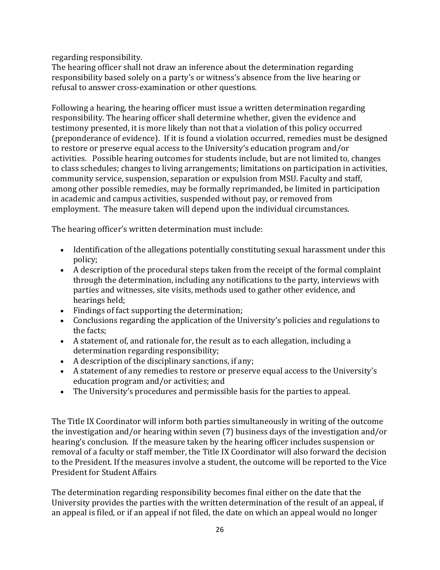regarding responsibility.

The hearing officer shall not draw an inference about the determination regarding responsibility based solely on a party's or witness's absence from the live hearing or refusal to answer cross-examination or other questions.

Following a hearing, the hearing officer must issue a written determination regarding responsibility. The hearing officer shall determine whether, given the evidence and testimony presented, it is more likely than not that a violation of this policy occurred (preponderance of evidence). If it is found a violation occurred, remedies must be designed to restore or preserve equal access to the University's education program and/or activities. Possible hearing outcomes for students include, but are not limited to, changes to class schedules; changes to living arrangements; limitations on participation in activities, community service, suspension, separation or expulsion from MSU. Faculty and staff, among other possible remedies, may be formally reprimanded, be limited in participation in academic and campus activities, suspended without pay, or removed from employment. The measure taken will depend upon the individual circumstances.

The hearing officer's written determination must include:

- Identification of the allegations potentially constituting sexual harassment under this policy;
- A description of the procedural steps taken from the receipt of the formal complaint through the determination, including any notifications to the party, interviews with parties and witnesses, site visits, methods used to gather other evidence, and hearings held;
- $\bullet$  Findings of fact supporting the determination;
- Conclusions regarding the application of the University's policies and regulations to the facts:
- A statement of, and rationale for, the result as to each allegation, including a determination regarding responsibility;
- A description of the disciplinary sanctions, if any:
- A statement of any remedies to restore or preserve equal access to the University's education program and/or activities; and
- The University's procedures and permissible basis for the parties to appeal.

The Title IX Coordinator will inform both parties simultaneously in writing of the outcome the investigation and/or hearing within seven  $(7)$  business days of the investigation and/or hearing's conclusion. If the measure taken by the hearing officer includes suspension or removal of a faculty or staff member, the Title IX Coordinator will also forward the decision to the President. If the measures involve a student, the outcome will be reported to the Vice President for Student Affairs

The determination regarding responsibility becomes final either on the date that the University provides the parties with the written determination of the result of an appeal, if an appeal is filed, or if an appeal if not filed, the date on which an appeal would no longer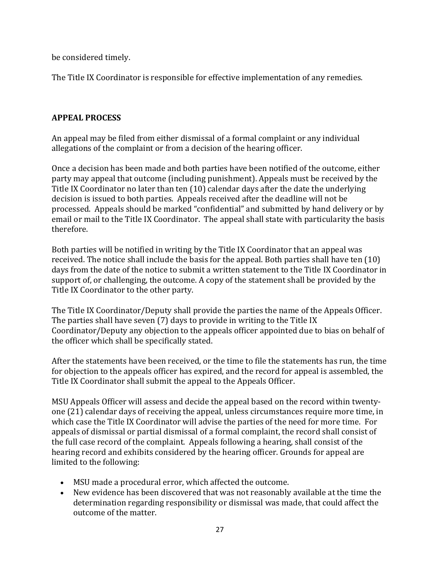be considered timely.

The Title IX Coordinator is responsible for effective implementation of any remedies.

## **APPEAL PROCESS**

An appeal may be filed from either dismissal of a formal complaint or any individual allegations of the complaint or from a decision of the hearing officer.

Once a decision has been made and both parties have been notified of the outcome, either party may appeal that outcome (including punishment). Appeals must be received by the Title IX Coordinator no later than ten (10) calendar days after the date the underlying decision is issued to both parties. Appeals received after the deadline will not be processed. Appeals should be marked "confidential" and submitted by hand delivery or by email or mail to the Title IX Coordinator. The appeal shall state with particularity the basis therefore.

Both parties will be notified in writing by the Title IX Coordinator that an appeal was received. The notice shall include the basis for the appeal. Both parties shall have ten  $(10)$ days from the date of the notice to submit a written statement to the Title IX Coordinator in support of, or challenging, the outcome. A copy of the statement shall be provided by the Title IX Coordinator to the other party.

The Title IX Coordinator/Deputy shall provide the parties the name of the Appeals Officer. The parties shall have seven  $(7)$  days to provide in writing to the Title IX Coordinator/Deputy any objection to the appeals officer appointed due to bias on behalf of the officer which shall be specifically stated.

After the statements have been received, or the time to file the statements has run, the time for objection to the appeals officer has expired, and the record for appeal is assembled, the Title IX Coordinator shall submit the appeal to the Appeals Officer.

MSU Appeals Officer will assess and decide the appeal based on the record within twentyone (21) calendar days of receiving the appeal, unless circumstances require more time, in which case the Title IX Coordinator will advise the parties of the need for more time. For appeals of dismissal or partial dismissal of a formal complaint, the record shall consist of the full case record of the complaint. Appeals following a hearing, shall consist of the hearing record and exhibits considered by the hearing officer. Grounds for appeal are limited to the following:

- MSU made a procedural error, which affected the outcome.
- New evidence has been discovered that was not reasonably available at the time the determination regarding responsibility or dismissal was made, that could affect the outcome of the matter.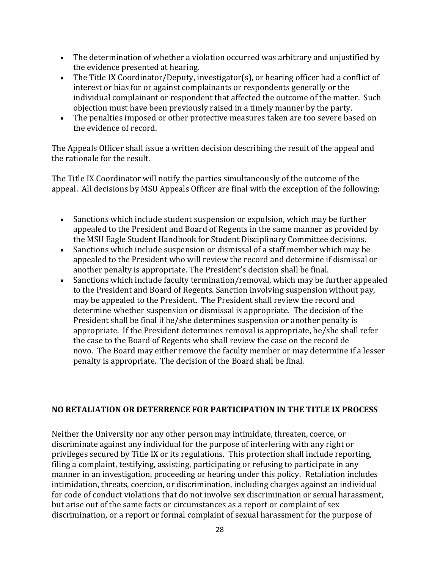- The determination of whether a violation occurred was arbitrary and unjustified by the evidence presented at hearing.
- The Title IX Coordinator/Deputy, investigator(s), or hearing officer had a conflict of interest or bias for or against complainants or respondents generally or the individual complainant or respondent that affected the outcome of the matter. Such objection must have been previously raised in a timely manner by the party.
- The penalties imposed or other protective measures taken are too severe based on the evidence of record.

The Appeals Officer shall issue a written decision describing the result of the appeal and the rationale for the result.

The Title IX Coordinator will notify the parties simultaneously of the outcome of the appeal. All decisions by MSU Appeals Officer are final with the exception of the following:

- Sanctions which include student suspension or expulsion, which may be further appealed to the President and Board of Regents in the same manner as provided by the MSU Eagle Student Handbook for Student Disciplinary Committee decisions.
- Sanctions which include suspension or dismissal of a staff member which may be appealed to the President who will review the record and determine if dismissal or another penalty is appropriate. The President's decision shall be final.
- Sanctions which include faculty termination/removal, which may be further appealed to the President and Board of Regents. Sanction involving suspension without pay, may be appealed to the President. The President shall review the record and determine whether suspension or dismissal is appropriate. The decision of the President shall be final if he/she determines suspension or another penalty is appropriate. If the President determines removal is appropriate, he/she shall refer the case to the Board of Regents who shall review the case on the record de novo. The Board may either remove the faculty member or may determine if a lesser penalty is appropriate. The decision of the Board shall be final.

## **NO RETALIATION OR DETERRENCE FOR PARTICIPATION IN THE TITLE IX PROCESS**

Neither the University nor any other person may intimidate, threaten, coerce, or discriminate against any individual for the purpose of interfering with any right or privileges secured by Title IX or its regulations. This protection shall include reporting, filing a complaint, testifying, assisting, participating or refusing to participate in any manner in an investigation, proceeding or hearing under this policy. Retaliation includes intimidation, threats, coercion, or discrimination, including charges against an individual for code of conduct violations that do not involve sex discrimination or sexual harassment, but arise out of the same facts or circumstances as a report or complaint of sex discrimination, or a report or formal complaint of sexual harassment for the purpose of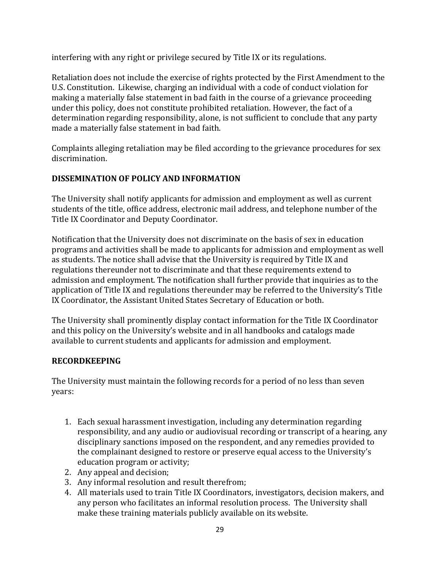interfering with any right or privilege secured by Title IX or its regulations.

Retaliation does not include the exercise of rights protected by the First Amendment to the U.S. Constitution. Likewise, charging an individual with a code of conduct violation for making a materially false statement in bad faith in the course of a grievance proceeding under this policy, does not constitute prohibited retaliation. However, the fact of a determination regarding responsibility, alone, is not sufficient to conclude that any party made a materially false statement in bad faith.

Complaints alleging retaliation may be filed according to the grievance procedures for sex discrimination. 

## **DISSEMINATION OF POLICY AND INFORMATION**

The University shall notify applicants for admission and employment as well as current students of the title, office address, electronic mail address, and telephone number of the Title IX Coordinator and Deputy Coordinator.

Notification that the University does not discriminate on the basis of sex in education programs and activities shall be made to applicants for admission and employment as well as students. The notice shall advise that the University is required by Title IX and regulations thereunder not to discriminate and that these requirements extend to admission and employment. The notification shall further provide that inquiries as to the application of Title IX and regulations thereunder may be referred to the University's Title IX Coordinator, the Assistant United States Secretary of Education or both.

The University shall prominently display contact information for the Title IX Coordinator and this policy on the University's website and in all handbooks and catalogs made available to current students and applicants for admission and employment.

## **RECORDKEEPING**

The University must maintain the following records for a period of no less than seven years:

- 1. Each sexual harassment investigation, including any determination regarding responsibility, and any audio or audiovisual recording or transcript of a hearing, any disciplinary sanctions imposed on the respondent, and any remedies provided to the complainant designed to restore or preserve equal access to the University's education program or activity;
- 2. Any appeal and decision;
- 3. Any informal resolution and result therefrom;
- 4. All materials used to train Title IX Coordinators, investigators, decision makers, and any person who facilitates an informal resolution process. The University shall make these training materials publicly available on its website.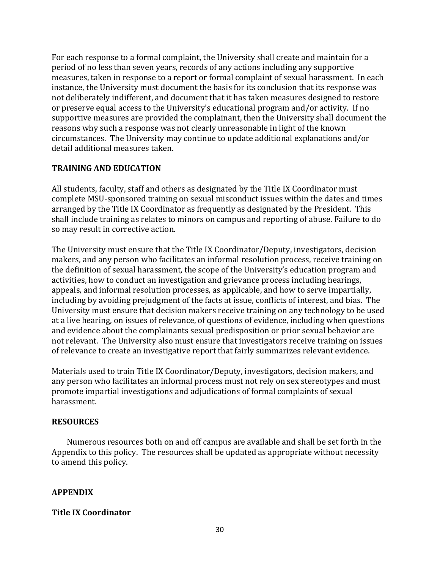For each response to a formal complaint, the University shall create and maintain for a period of no less than seven years, records of any actions including any supportive measures, taken in response to a report or formal complaint of sexual harassment. In each instance, the University must document the basis for its conclusion that its response was not deliberately indifferent, and document that it has taken measures designed to restore or preserve equal access to the University's educational program and/or activity. If no supportive measures are provided the complainant, then the University shall document the reasons why such a response was not clearly unreasonable in light of the known circumstances. The University may continue to update additional explanations and/or detail additional measures taken.

#### **TRAINING AND EDUCATION**

All students, faculty, staff and others as designated by the Title IX Coordinator must complete MSU-sponsored training on sexual misconduct issues within the dates and times arranged by the Title IX Coordinator as frequently as designated by the President. This shall include training as relates to minors on campus and reporting of abuse. Failure to do so may result in corrective action.

The University must ensure that the Title IX Coordinator/Deputy, investigators, decision makers, and any person who facilitates an informal resolution process, receive training on the definition of sexual harassment, the scope of the University's education program and activities, how to conduct an investigation and grievance process including hearings, appeals, and informal resolution processes, as applicable, and how to serve impartially, including by avoiding prejudgment of the facts at issue, conflicts of interest, and bias. The University must ensure that decision makers receive training on any technology to be used at a live hearing, on issues of relevance, of questions of evidence, including when questions and evidence about the complainants sexual predisposition or prior sexual behavior are not relevant. The University also must ensure that investigators receive training on issues of relevance to create an investigative report that fairly summarizes relevant evidence.

Materials used to train Title IX Coordinator/Deputy, investigators, decision makers, and any person who facilitates an informal process must not rely on sex stereotypes and must promote impartial investigations and adjudications of formal complaints of sexual harassment.

### **RESOURCES**

Numerous resources both on and off campus are available and shall be set forth in the Appendix to this policy. The resources shall be updated as appropriate without necessity to amend this policy.

#### **APPENDIX**

#### **Title IX Coordinator**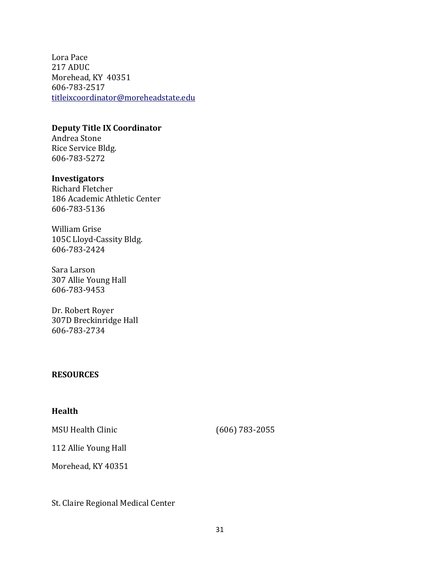Lora Pace 217 ADUC Morehead, KY 40351 606-783-2517 titleixcoordinator@moreheadstate.edu

#### **Deputy Title IX Coordinator**

Andrea Stone Rice Service Bldg. 606-783-5272

#### **Investigators**

Richard Fletcher 186 Academic Athletic Center 606-783-5136

William Grise 105C Lloyd-Cassity Bldg. 606-783-2424

Sara Larson 307 Allie Young Hall 606-783-9453

Dr. Robert Royer 307D Breckinridge Hall 606-783-2734

#### **RESOURCES**

#### **Health**

MSU Health Clinic (606) 783-2055

112 Allie Young Hall

Morehead, KY 40351

St. Claire Regional Medical Center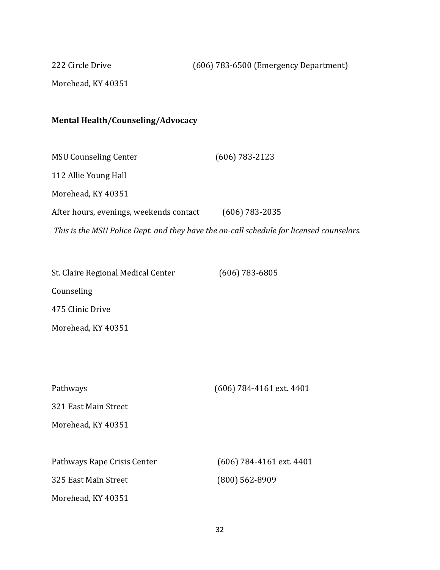222 Circle Drive (606) 783-6500 (Emergency Department)

Morehead, KY 40351

# **Mental Health/Counseling/Advocacy**

| <b>MSU Counseling Center</b>                                                             | $(606) 783 - 2123$ |
|------------------------------------------------------------------------------------------|--------------------|
| 112 Allie Young Hall                                                                     |                    |
| Morehead, KY 40351                                                                       |                    |
| After hours, evenings, weekends contact                                                  | $(606)$ 783-2035   |
| This is the MSU Police Dept. and they have the on-call schedule for licensed counselors. |                    |

St. Claire Regional Medical Center (606) 783-6805 Counseling 475 Clinic Drive Morehead, KY 40351

| Pathways                    | (606) 784-4161 ext. 4401   |
|-----------------------------|----------------------------|
| 321 East Main Street        |                            |
| Morehead, KY 40351          |                            |
|                             |                            |
| Pathways Rape Crisis Center | $(606)$ 784-4161 ext. 4401 |
| 325 East Main Street        | $(800)$ 562-8909           |
| Morehead, KY 40351          |                            |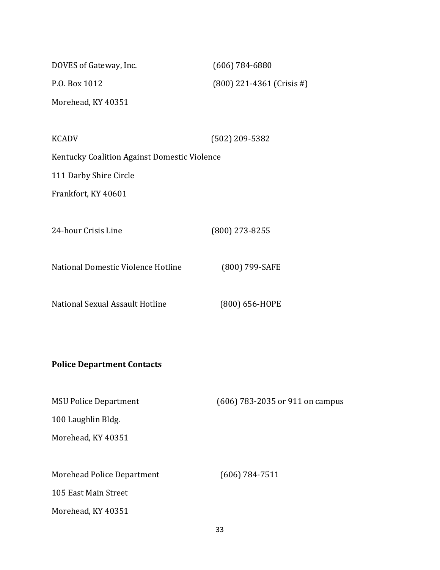| DOVES of Gateway, Inc.                       | $(606) 784 - 6880$              |
|----------------------------------------------|---------------------------------|
| P.O. Box 1012                                | $(800)$ 221-4361 (Crisis #)     |
| Morehead, KY 40351                           |                                 |
|                                              |                                 |
| <b>KCADV</b>                                 | $(502)$ 209-5382                |
| Kentucky Coalition Against Domestic Violence |                                 |
| 111 Darby Shire Circle                       |                                 |
| Frankfort, KY 40601                          |                                 |
|                                              |                                 |
| 24-hour Crisis Line                          | $(800)$ 273-8255                |
|                                              |                                 |
| National Domestic Violence Hotline           | (800) 799-SAFE                  |
|                                              |                                 |
| National Sexual Assault Hotline              | (800) 656-HOPE                  |
|                                              |                                 |
|                                              |                                 |
| <b>Police Department Contacts</b>            |                                 |
|                                              |                                 |
| <b>MSU Police Department</b>                 | (606) 783-2035 or 911 on campus |

100 Laughlin Bldg.

Morehead, KY 40351

Morehead Police Department (606) 784-7511

105 East Main Street

Morehead, KY 40351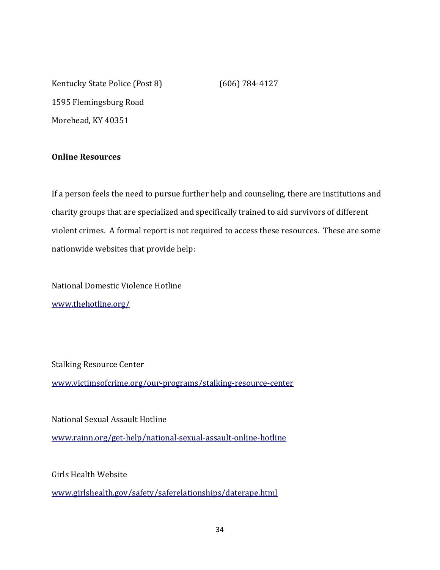Kentucky State Police (Post 8) (606) 784-4127 1595 Flemingsburg Road Morehead, KY 40351

**Online Resources**

If a person feels the need to pursue further help and counseling, there are institutions and charity groups that are specialized and specifically trained to aid survivors of different violent crimes. A formal report is not required to access these resources. These are some nationwide websites that provide help:

National Domestic Violence Hotline www.thehotline.org/

**Stalking Resource Center** 

www.victimsofcrime.org/our-programs/stalking-resource-center

National Sexual Assault Hotline www.rainn.org/get-help/national-sexual-assault-online-hotline

Girls Health Website

www.girlshealth.gov/safety/saferelationships/daterape.html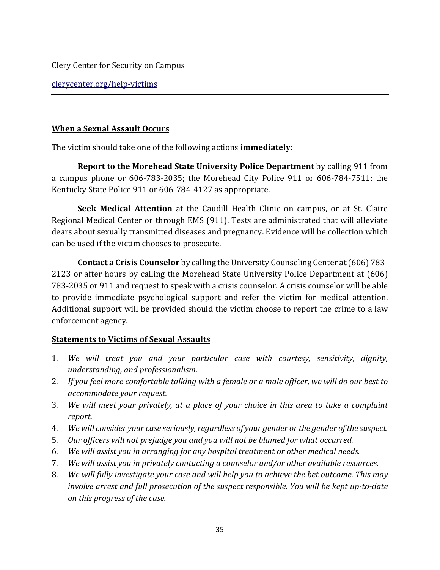Clery Center for Security on Campus

clerycenter.org/help-victims

### **When a Sexual Assault Occurs**

The victim should take one of the following actions **immediately**:

**Report to the Morehead State University Police Department** by calling 911 from a campus phone or  $606-783-2035$ ; the Morehead City Police 911 or  $606-784-7511$ : the Kentucky State Police 911 or 606-784-4127 as appropriate.

**Seek Medical Attention** at the Caudill Health Clinic on campus, or at St. Claire Regional Medical Center or through EMS (911). Tests are administrated that will alleviate dears about sexually transmitted diseases and pregnancy. Evidence will be collection which can be used if the victim chooses to prosecute.

**Contact a Crisis Counselor** by calling the University Counseling Center at (606) 783-2123 or after hours by calling the Morehead State University Police Department at (606) 783-2035 or 911 and request to speak with a crisis counselor. A crisis counselor will be able to provide immediate psychological support and refer the victim for medical attention. Additional support will be provided should the victim choose to report the crime to a law enforcement agency.

## **<u>Statements to Victims of Sexual Assaults</u>**

- 1. We will treat you and your particular case with courtesy, sensitivity, dignity, *understanding, and professionalism*.
- 2. If you feel more comfortable talking with a female or a male officer, we will do our best to *accommodate your request.*
- 3. *We will meet your privately, at a place of your choice in this area to take a complaint report.*
- 4. *We will consider your case seriously, regardless of your gender or the gender of the suspect.*
- 5. Our officers will not prejudge you and you will not be blamed for what occurred.
- 6. *We will assist you in arranging for any hospital treatment or other medical needs.*
- 7. *We will assist you in privately contacting a counselor and/or other available resources.*
- 8. *We will fully investigate your case and will help you to achieve the bet outcome. This may involve arrest and full prosecution of the suspect responsible. You will be kept up-to-date on this progress of the case.*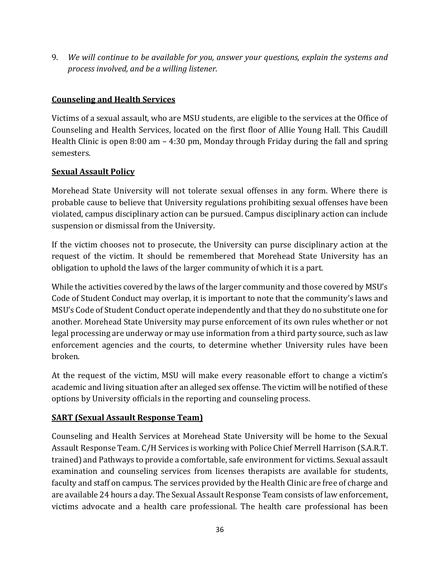9. *We will continue to be available for you, answer your questions, explain the systems and process involved, and be a willing listener.* 

## **Counseling and Health Services**

Victims of a sexual assault, who are MSU students, are eligible to the services at the Office of Counseling and Health Services, located on the first floor of Allie Young Hall. This Caudill Health Clinic is open  $8:00 \text{ am} - 4:30 \text{ pm}$ , Monday through Friday during the fall and spring semesters. 

## **Sexual Assault Policy**

Morehead State University will not tolerate sexual offenses in any form. Where there is probable cause to believe that University regulations prohibiting sexual offenses have been violated, campus disciplinary action can be pursued. Campus disciplinary action can include suspension or dismissal from the University.

If the victim chooses not to prosecute, the University can purse disciplinary action at the request of the victim. It should be remembered that Morehead State University has an obligation to uphold the laws of the larger community of which it is a part.

While the activities covered by the laws of the larger community and those covered by MSU's Code of Student Conduct may overlap, it is important to note that the community's laws and MSU's Code of Student Conduct operate independently and that they do no substitute one for another. Morehead State University may purse enforcement of its own rules whether or not legal processing are underway or may use information from a third party source, such as law enforcement agencies and the courts, to determine whether University rules have been broken. 

At the request of the victim, MSU will make every reasonable effort to change a victim's academic and living situation after an alleged sex offense. The victim will be notified of these options by University officials in the reporting and counseling process.

## **SART** (Sexual Assault Response Team)

Counseling and Health Services at Morehead State University will be home to the Sexual Assault Response Team. C/H Services is working with Police Chief Merrell Harrison (S.A.R.T. trained) and Pathways to provide a comfortable, safe environment for victims. Sexual assault examination and counseling services from licenses therapists are available for students, faculty and staff on campus. The services provided by the Health Clinic are free of charge and are available 24 hours a day. The Sexual Assault Response Team consists of law enforcement, victims advocate and a health care professional. The health care professional has been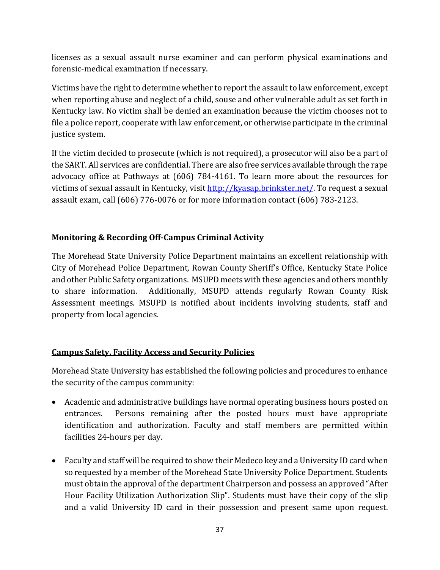licenses as a sexual assault nurse examiner and can perform physical examinations and forensic-medical examination if necessary.

Victims have the right to determine whether to report the assault to law enforcement, except when reporting abuse and neglect of a child, souse and other vulnerable adult as set forth in Kentucky law. No victim shall be denied an examination because the victim chooses not to file a police report, cooperate with law enforcement, or otherwise participate in the criminal justice system.

If the victim decided to prosecute (which is not required), a prosecutor will also be a part of the SART. All services are confidential. There are also free services available through the rape advocacy office at Pathways at (606) 784-4161. To learn more about the resources for victims of sexual assault in Kentucky, visit http://kyasap.brinkster.net/. To request a sexual assault exam, call  $(606)$  776-0076 or for more information contact  $(606)$  783-2123.

## **Monitoring & Recording Off-Campus Criminal Activity**

The Morehead State University Police Department maintains an excellent relationship with City of Morehead Police Department, Rowan County Sheriff's Office, Kentucky State Police and other Public Safety organizations. MSUPD meets with these agencies and others monthly to share information. Additionally, MSUPD attends regularly Rowan County Risk Assessment meetings. MSUPD is notified about incidents involving students, staff and property from local agencies.

## **Campus Safety, Facility Access and Security Policies**

Morehead State University has established the following policies and procedures to enhance the security of the campus community:

- Academic and administrative buildings have normal operating business hours posted on entrances. Persons remaining after the posted hours must have appropriate identification and authorization. Faculty and staff members are permitted within facilities 24-hours per day.
- Faculty and staff will be required to show their Medeco key and a University ID card when so requested by a member of the Morehead State University Police Department. Students must obtain the approval of the department Chairperson and possess an approved "After" Hour Facility Utilization Authorization Slip". Students must have their copy of the slip and a valid University ID card in their possession and present same upon request.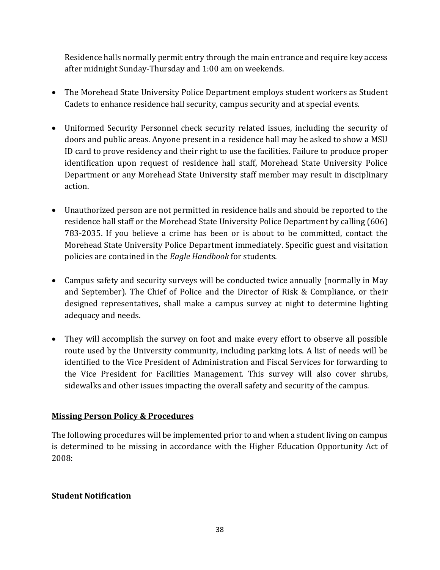Residence halls normally permit entry through the main entrance and require key access after midnight Sunday-Thursday and 1:00 am on weekends.

- The Morehead State University Police Department employs student workers as Student Cadets to enhance residence hall security, campus security and at special events.
- Uniformed Security Personnel check security related issues, including the security of doors and public areas. Anyone present in a residence hall may be asked to show a MSU ID card to prove residency and their right to use the facilities. Failure to produce proper identification upon request of residence hall staff, Morehead State University Police Department or any Morehead State University staff member may result in disciplinary action.
- Unauthorized person are not permitted in residence halls and should be reported to the residence hall staff or the Morehead State University Police Department by calling (606) 783-2035. If you believe a crime has been or is about to be committed, contact the Morehead State University Police Department immediately. Specific guest and visitation policies are contained in the *Eagle Handbook* for students.
- Campus safety and security surveys will be conducted twice annually (normally in May and September). The Chief of Police and the Director of Risk & Compliance, or their designed representatives, shall make a campus survey at night to determine lighting adequacy and needs.
- They will accomplish the survey on foot and make every effort to observe all possible route used by the University community, including parking lots. A list of needs will be identified to the Vice President of Administration and Fiscal Services for forwarding to the Vice President for Facilities Management. This survey will also cover shrubs, sidewalks and other issues impacting the overall safety and security of the campus.

## **Missing Person Policy & Procedures**

The following procedures will be implemented prior to and when a student living on campus is determined to be missing in accordance with the Higher Education Opportunity Act of 2008:

## **Student Notification**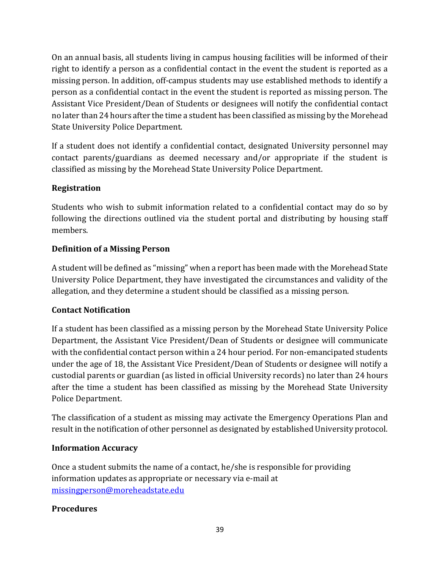On an annual basis, all students living in campus housing facilities will be informed of their right to identify a person as a confidential contact in the event the student is reported as a missing person. In addition, off-campus students may use established methods to identify a person as a confidential contact in the event the student is reported as missing person. The Assistant Vice President/Dean of Students or designees will notify the confidential contact no later than 24 hours after the time a student has been classified as missing by the Morehead State University Police Department.

If a student does not identify a confidential contact, designated University personnel may contact parents/guardians as deemed necessary and/or appropriate if the student is classified as missing by the Morehead State University Police Department.

## **Registration**

Students who wish to submit information related to a confidential contact may do so by following the directions outlined via the student portal and distributing by housing staff members. 

## **Definition of a Missing Person**

A student will be defined as "missing" when a report has been made with the Morehead State University Police Department, they have investigated the circumstances and validity of the allegation, and they determine a student should be classified as a missing person.

## **Contact Notification**

If a student has been classified as a missing person by the Morehead State University Police Department, the Assistant Vice President/Dean of Students or designee will communicate with the confidential contact person within a 24 hour period. For non-emancipated students under the age of 18, the Assistant Vice President/Dean of Students or designee will notify a custodial parents or guardian (as listed in official University records) no later than 24 hours after the time a student has been classified as missing by the Morehead State University Police Department.

The classification of a student as missing may activate the Emergency Operations Plan and result in the notification of other personnel as designated by established University protocol.

## **Information Accuracy**

Once a student submits the name of a contact, he/she is responsible for providing information updates as appropriate or necessary via e-mail at missingperson@moreheadstate.edu

## **Procedures**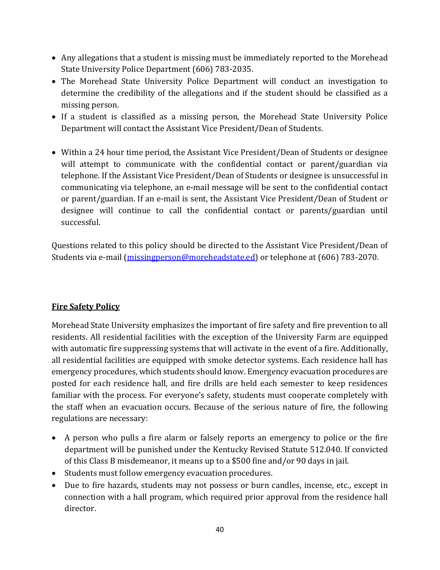- Any allegations that a student is missing must be immediately reported to the Morehead State University Police Department (606) 783-2035.
- The Morehead State University Police Department will conduct an investigation to determine the credibility of the allegations and if the student should be classified as a missing person.
- If a student is classified as a missing person, the Morehead State University Police Department will contact the Assistant Vice President/Dean of Students.
- Within a 24 hour time period, the Assistant Vice President/Dean of Students or designee will attempt to communicate with the confidential contact or parent/guardian via telephone. If the Assistant Vice President/Dean of Students or designee is unsuccessful in communicating via telephone, an e-mail message will be sent to the confidential contact or parent/guardian. If an e-mail is sent, the Assistant Vice President/Dean of Student or designee will continue to call the confidential contact or parents/guardian until successful.

Questions related to this policy should be directed to the Assistant Vice President/Dean of Students via e-mail (missingperson@moreheadstate.ed) or telephone at (606) 783-2070.

## **Fire Safety Policy**

Morehead State University emphasizes the important of fire safety and fire prevention to all residents. All residential facilities with the exception of the University Farm are equipped with automatic fire suppressing systems that will activate in the event of a fire. Additionally, all residential facilities are equipped with smoke detector systems. Each residence hall has emergency procedures, which students should know. Emergency evacuation procedures are posted for each residence hall, and fire drills are held each semester to keep residences familiar with the process. For everyone's safety, students must cooperate completely with the staff when an evacuation occurs. Because of the serious nature of fire, the following regulations are necessary:

- A person who pulls a fire alarm or falsely reports an emergency to police or the fire department will be punished under the Kentucky Revised Statute 512.040. If convicted of this Class B misdemeanor, it means up to a \$500 fine and/or 90 days in jail.
- Students must follow emergency evacuation procedures.
- Due to fire hazards, students may not possess or burn candles, incense, etc., except in connection with a hall program, which required prior approval from the residence hall director.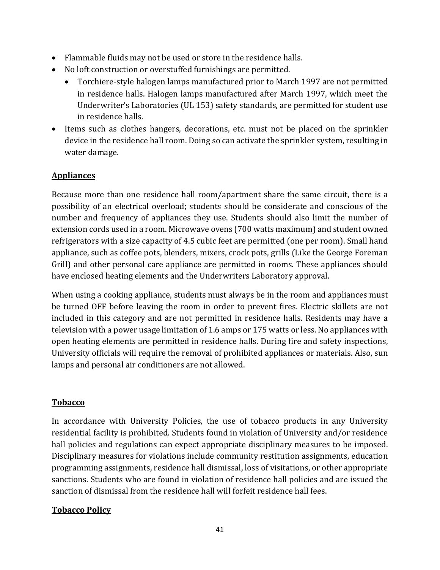- Flammable fluids may not be used or store in the residence halls.
- No loft construction or overstuffed furnishings are permitted.
	- Torchiere-style halogen lamps manufactured prior to March 1997 are not permitted in residence halls. Halogen lamps manufactured after March 1997, which meet the Underwriter's Laboratories (UL 153) safety standards, are permitted for student use in residence halls.
- Items such as clothes hangers, decorations, etc. must not be placed on the sprinkler device in the residence hall room. Doing so can activate the sprinkler system, resulting in water damage.

## **Appliances**

Because more than one residence hall room/apartment share the same circuit, there is a possibility of an electrical overload; students should be considerate and conscious of the number and frequency of appliances they use. Students should also limit the number of extension cords used in a room. Microwave ovens (700 watts maximum) and student owned refrigerators with a size capacity of 4.5 cubic feet are permitted (one per room). Small hand appliance, such as coffee pots, blenders, mixers, crock pots, grills (Like the George Foreman Grill) and other personal care appliance are permitted in rooms. These appliances should have enclosed heating elements and the Underwriters Laboratory approval.

When using a cooking appliance, students must always be in the room and appliances must be turned OFF before leaving the room in order to prevent fires. Electric skillets are not included in this category and are not permitted in residence halls. Residents may have a television with a power usage limitation of 1.6 amps or 175 watts or less. No appliances with open heating elements are permitted in residence halls. During fire and safety inspections, University officials will require the removal of prohibited appliances or materials. Also, sun lamps and personal air conditioners are not allowed.

## **Tobacco**

In accordance with University Policies, the use of tobacco products in any University residential facility is prohibited. Students found in violation of University and/or residence hall policies and regulations can expect appropriate disciplinary measures to be imposed. Disciplinary measures for violations include community restitution assignments, education programming assignments, residence hall dismissal, loss of visitations, or other appropriate sanctions. Students who are found in violation of residence hall policies and are issued the sanction of dismissal from the residence hall will forfeit residence hall fees.

## **Tobacco Policy**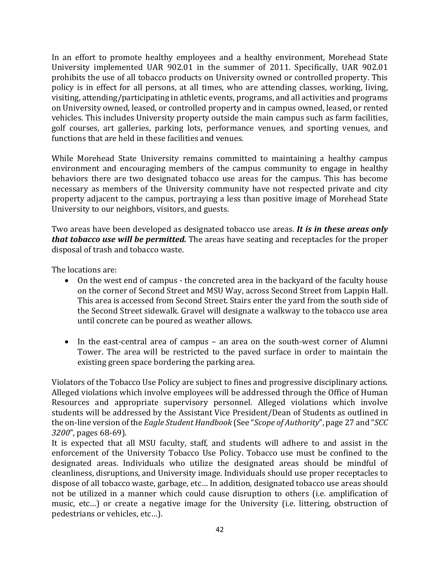In an effort to promote healthy employees and a healthy environment, Morehead State University implemented UAR 902.01 in the summer of 2011. Specifically, UAR 902.01 prohibits the use of all tobacco products on University owned or controlled property. This policy is in effect for all persons, at all times, who are attending classes, working, living, visiting, attending/participating in athletic events, programs, and all activities and programs on University owned, leased, or controlled property and in campus owned, leased, or rented vehicles. This includes University property outside the main campus such as farm facilities, golf courses, art galleries, parking lots, performance venues, and sporting venues, and functions that are held in these facilities and venues.

While Morehead State University remains committed to maintaining a healthy campus environment and encouraging members of the campus community to engage in healthy behaviors there are two designated tobacco use areas for the campus. This has become necessary as members of the University community have not respected private and city property adjacent to the campus, portraying a less than positive image of Morehead State University to our neighbors, visitors, and guests.

Two areas have been developed as designated tobacco use areas. *It is in these areas only that tobacco use will be permitted.* The areas have seating and receptacles for the proper disposal of trash and tobacco waste.

The locations are:

- On the west end of campus the concreted area in the backyard of the faculty house on the corner of Second Street and MSU Way, across Second Street from Lappin Hall. This area is accessed from Second Street. Stairs enter the yard from the south side of the Second Street sidewalk. Gravel will designate a walkway to the tobacco use area until concrete can be poured as weather allows.
- In the east-central area of campus an area on the south-west corner of Alumni Tower. The area will be restricted to the paved surface in order to maintain the existing green space bordering the parking area.

Violators of the Tobacco Use Policy are subject to fines and progressive disciplinary actions. Alleged violations which involve employees will be addressed through the Office of Human Resources and appropriate supervisory personnel. Alleged violations which involve students will be addressed by the Assistant Vice President/Dean of Students as outlined in the on-line version of the *Eagle Student Handbook* (See "*Scope of Authority*", page 27 and "*SCC* 3200", pages 68-69).

It is expected that all MSU faculty, staff, and students will adhere to and assist in the enforcement of the University Tobacco Use Policy. Tobacco use must be confined to the designated areas. Individuals who utilize the designated areas should be mindful of cleanliness, disruptions, and University image. Individuals should use proper receptacles to dispose of all tobacco waste, garbage, etc... In addition, designated tobacco use areas should not be utilized in a manner which could cause disruption to others (i.e. amplification of music, etc...) or create a negative image for the University (i.e. littering, obstruction of pedestrians or vehicles, etc...).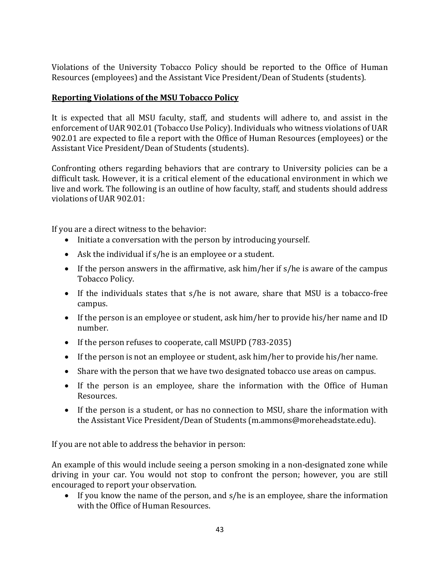Violations of the University Tobacco Policy should be reported to the Office of Human Resources (employees) and the Assistant Vice President/Dean of Students (students).

## **Reporting Violations of the MSU Tobacco Policy**

It is expected that all MSU faculty, staff, and students will adhere to, and assist in the enforcement of UAR 902.01 (Tobacco Use Policy). Individuals who witness violations of UAR 902.01 are expected to file a report with the Office of Human Resources (employees) or the Assistant Vice President/Dean of Students (students).

Confronting others regarding behaviors that are contrary to University policies can be a difficult task. However, it is a critical element of the educational environment in which we live and work. The following is an outline of how faculty, staff, and students should address violations of UAR 902.01:

If you are a direct witness to the behavior:

- Initiate a conversation with the person by introducing yourself.
- Ask the individual if  $s/h$ e is an employee or a student.
- If the person answers in the affirmative, ask him/her if  $s/h$ e is aware of the campus Tobacco Policy.
- If the individuals states that s/he is not aware, share that MSU is a tobacco-free campus.
- If the person is an employee or student, ask him/her to provide his/her name and ID number.
- If the person refuses to cooperate, call MSUPD  $(783-2035)$
- If the person is not an employee or student, ask him/her to provide his/her name.
- Share with the person that we have two designated tobacco use areas on campus.
- If the person is an employee, share the information with the Office of Human Resources.
- If the person is a student, or has no connection to MSU, share the information with the Assistant Vice President/Dean of Students (m.ammons@moreheadstate.edu).

If you are not able to address the behavior in person:

An example of this would include seeing a person smoking in a non-designated zone while driving in your car. You would not stop to confront the person; however, you are still encouraged to report your observation.

• If you know the name of the person, and  $s/h$ e is an employee, share the information with the Office of Human Resources.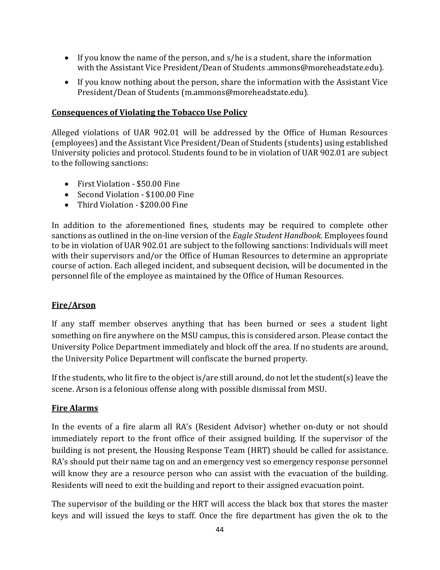- If you know the name of the person, and  $s/he$  is a student, share the information with the Assistant Vice President/Dean of Students .ammons@moreheadstate.edu).
- If you know nothing about the person, share the information with the Assistant Vice President/Dean of Students (m.ammons@moreheadstate.edu).

### **Consequences of Violating the Tobacco Use Policy**

Alleged violations of UAR 902.01 will be addressed by the Office of Human Resources (employees) and the Assistant Vice President/Dean of Students (students) using established University policies and protocol. Students found to be in violation of UAR 902.01 are subject to the following sanctions:

- First Violation \$50.00 Fine
- Second Violation \$100.00 Fine
- Third Violation \$200.00 Fine

In addition to the aforementioned fines, students may be required to complete other sanctions as outlined in the on-line version of the *Eagle Student Handbook*. Employees found to be in violation of UAR 902.01 are subject to the following sanctions: Individuals will meet with their supervisors and/or the Office of Human Resources to determine an appropriate course of action. Each alleged incident, and subsequent decision, will be documented in the personnel file of the employee as maintained by the Office of Human Resources.

## **Fire/Arson**

If any staff member observes anything that has been burned or sees a student light something on fire anywhere on the MSU campus, this is considered arson. Please contact the University Police Department immediately and block off the area. If no students are around, the University Police Department will confiscate the burned property.

If the students, who lit fire to the object is/are still around, do not let the student(s) leave the scene. Arson is a felonious offense along with possible dismissal from MSU.

### **Fire Alarms**

In the events of a fire alarm all RA's (Resident Advisor) whether on-duty or not should immediately report to the front office of their assigned building. If the supervisor of the building is not present, the Housing Response Team (HRT) should be called for assistance. RA's should put their name tag on and an emergency vest so emergency response personnel will know they are a resource person who can assist with the evacuation of the building. Residents will need to exit the building and report to their assigned evacuation point.

The supervisor of the building or the HRT will access the black box that stores the master keys and will issued the keys to staff. Once the fire department has given the ok to the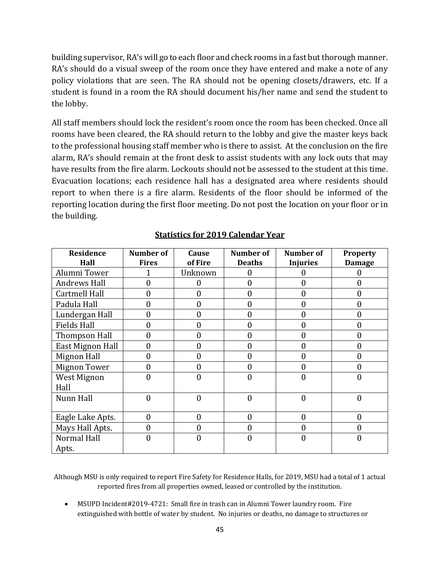building supervisor, RA's will go to each floor and check rooms in a fast but thorough manner. RA's should do a visual sweep of the room once they have entered and make a note of any policy violations that are seen. The RA should not be opening closets/drawers, etc. If a student is found in a room the RA should document his/her name and send the student to the lobby.

All staff members should lock the resident's room once the room has been checked. Once all rooms have been cleared, the RA should return to the lobby and give the master keys back to the professional housing staff member who is there to assist. At the conclusion on the fire alarm, RA's should remain at the front desk to assist students with any lock outs that may have results from the fire alarm. Lockouts should not be assessed to the student at this time. Evacuation locations; each residence hall has a designated area where residents should report to when there is a fire alarm. Residents of the floor should be informed of the reporting location during the first floor meeting. Do not post the location on your floor or in the building.

| <b>Residence</b>     | Number of    | Cause          | Number of     | Number of       | <b>Property</b>  |
|----------------------|--------------|----------------|---------------|-----------------|------------------|
| Hall                 | <b>Fires</b> | of Fire        | <b>Deaths</b> | <b>Injuries</b> | <b>Damage</b>    |
| Alumni Tower         |              | Unknown        | 0             |                 | $\mathbf{0}$     |
| <b>Andrews Hall</b>  | O            | $\theta$       | 0             | 0               | $\mathbf{0}$     |
| Cartmell Hall        | 0            | $\mathbf{0}$   | 0             | 0               | $\mathbf{0}$     |
| Padula Hall          | 0            | $\theta$       | 0             | 0               | $\theta$         |
| Lundergan Hall       | 0            | $\mathbf{0}$   | 0             | 0               | $\mathbf{0}$     |
| <b>Fields Hall</b>   | 0            | $\mathbf{0}$   | 0             | 0               | $\mathbf{0}$     |
| <b>Thompson Hall</b> | 0            | $\mathbf{0}$   | 0             | $\mathbf{0}$    | $\mathbf{0}$     |
| East Mignon Hall     | 0            | $\mathbf{0}$   | 0             | $\mathbf{0}$    | $\mathbf{0}$     |
| <b>Mignon Hall</b>   | 0            | $\theta$       | 0             | 0               | $\boldsymbol{0}$ |
| <b>Mignon Tower</b>  | 0            | $\mathbf{0}$   | 0             | 0               | $\mathbf{0}$     |
| West Mignon          | 0            | $\overline{0}$ | 0             | 0               | $\boldsymbol{0}$ |
| Hall                 |              |                |               |                 |                  |
| Nunn Hall            | 0            | $\mathbf{0}$   | 0             | $\mathbf{0}$    | $\mathbf{0}$     |
|                      |              |                |               |                 |                  |
| Eagle Lake Apts.     | 0            | $\mathbf{0}$   | $\mathbf{0}$  | $\mathbf{0}$    | $\mathbf{0}$     |
| Mays Hall Apts.      | 0            | $\theta$       | 0             | 0               | $\boldsymbol{0}$ |
| Normal Hall          | 0            | $\mathbf{0}$   | 0             | $\mathbf{0}$    | $\boldsymbol{0}$ |
| Apts.                |              |                |               |                 |                  |

## **Statistics for 2019 Calendar Year**

Although MSU is only required to report Fire Safety for Residence Halls, for 2019, MSU had a total of 1 actual reported fires from all properties owned, leased or controlled by the institution.

MSUPD Incident#2019-4721: Small fire in trash can in Alumni Tower laundry room. Fire extinguished with bottle of water by student. No injuries or deaths, no damage to structures or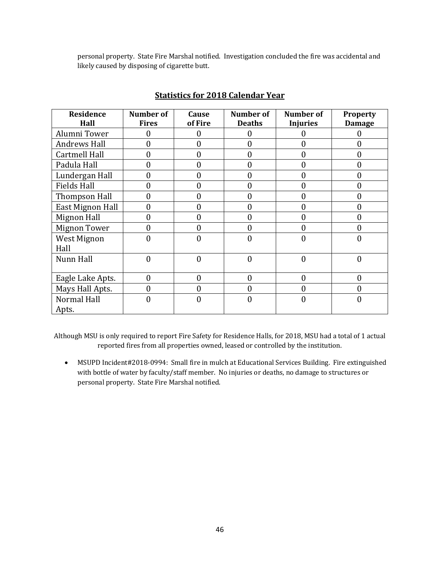personal property. State Fire Marshal notified. Investigation concluded the fire was accidental and likely caused by disposing of cigarette butt.

| Residence           | Number of      | Cause            | Number of      | <b>Number of</b> | <b>Property</b>  |
|---------------------|----------------|------------------|----------------|------------------|------------------|
| Hall                | <b>Fires</b>   | of Fire          | <b>Deaths</b>  | <b>Injuries</b>  | <b>Damage</b>    |
| Alumni Tower        | 0              | $\theta$         | 0              | 0                | $\Omega$         |
| <b>Andrews Hall</b> | 0              | $\theta$         | 0              | 0                | $\boldsymbol{0}$ |
| Cartmell Hall       | 0              | $\mathbf{0}$     | 0              | $\mathbf{0}$     | $\mathbf{0}$     |
| Padula Hall         | 0              | $\boldsymbol{0}$ | 0              | $\boldsymbol{0}$ | $\boldsymbol{0}$ |
| Lundergan Hall      | 0              | $\boldsymbol{0}$ | $\overline{0}$ | $\boldsymbol{0}$ | $\mathbf{0}$     |
| <b>Fields Hall</b>  | 0              | $\boldsymbol{0}$ | 0              | $\mathbf{0}$     | $\mathbf{0}$     |
| Thompson Hall       | 0              | $\mathbf{0}$     | 0              | $\mathbf{0}$     | $\boldsymbol{0}$ |
| East Mignon Hall    | 0              | $\boldsymbol{0}$ | 0              | 0                | $\mathbf{0}$     |
| Mignon Hall         | 0              | $\boldsymbol{0}$ | 0              | 0                | $\mathbf{0}$     |
| <b>Mignon Tower</b> | 0              | $\mathbf{0}$     | 0              | 0                | $\mathbf{0}$     |
| West Mignon         | 0              | $\overline{0}$   | 0              | 0                | $\boldsymbol{0}$ |
| Hall                |                |                  |                |                  |                  |
| Nunn Hall           | $\overline{0}$ | $\boldsymbol{0}$ | $\theta$       | $\mathbf{0}$     | $\mathbf{0}$     |
|                     |                |                  |                |                  |                  |
| Eagle Lake Apts.    | $\overline{0}$ | $\mathbf{0}$     | $\overline{0}$ | $\mathbf{0}$     | $\theta$         |
| Mays Hall Apts.     | 0              | $\mathbf{0}$     | 0              | 0                | $\mathbf{0}$     |
| <b>Normal Hall</b>  | 0              | $\overline{0}$   | 0              | 0                | $\mathbf{0}$     |
| Apts.               |                |                  |                |                  |                  |

### **Statistics for 2018 Calendar Year**

Although MSU is only required to report Fire Safety for Residence Halls, for 2018, MSU had a total of 1 actual reported fires from all properties owned, leased or controlled by the institution.

• MSUPD Incident#2018-0994: Small fire in mulch at Educational Services Building. Fire extinguished with bottle of water by faculty/staff member. No injuries or deaths, no damage to structures or personal property. State Fire Marshal notified.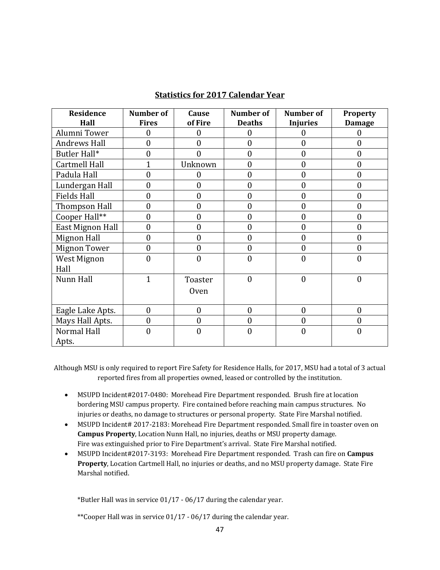| Residence<br>Hall    | Number of<br><b>Fires</b> | Cause<br>of Fire | Number of<br><b>Deaths</b> | Number of<br><b>Injuries</b> | <b>Property</b>    |
|----------------------|---------------------------|------------------|----------------------------|------------------------------|--------------------|
| Alumni Tower         | 0                         | 0                | $\overline{0}$             | 0                            | <b>Damage</b><br>0 |
| <b>Andrews Hall</b>  | $\overline{0}$            | $\theta$         | $\boldsymbol{0}$           | $\overline{0}$               | $\overline{0}$     |
| Butler Hall*         | $\overline{0}$            | 0                | $\boldsymbol{0}$           | $\overline{0}$               | $\overline{0}$     |
| <b>Cartmell Hall</b> |                           | Unknown          | $\boldsymbol{0}$           | 0                            | $\boldsymbol{0}$   |
| Padula Hall          | $\Omega$                  | $\Omega$         | $\overline{0}$             | $\overline{0}$               | $\overline{0}$     |
|                      | $\overline{0}$            | $\mathbf{0}$     | $\mathbf{0}$               | $\overline{0}$               | $\overline{0}$     |
| Lundergan Hall       |                           |                  |                            |                              |                    |
| <b>Fields Hall</b>   | 0                         | 0                | $\boldsymbol{0}$           | 0                            | $\boldsymbol{0}$   |
| <b>Thompson Hall</b> | $\overline{0}$            | $\theta$         | $\boldsymbol{0}$           | $\overline{0}$               | $\overline{0}$     |
| Cooper Hall**        | $\mathbf{0}$              | $\overline{0}$   | $\boldsymbol{0}$           | $\mathbf{0}$                 | $\mathbf{0}$       |
| East Mignon Hall     | $\boldsymbol{0}$          | $\overline{0}$   | $\boldsymbol{0}$           | $\overline{0}$               | $\boldsymbol{0}$   |
| Mignon Hall          | $\overline{0}$            | $\overline{0}$   | $\boldsymbol{0}$           | $\overline{0}$               | $\mathbf{0}$       |
| <b>Mignon Tower</b>  | $\mathbf{0}$              | $\mathbf{0}$     | $\boldsymbol{0}$           | $\overline{0}$               | $\mathbf{0}$       |
| West Mignon          | $\boldsymbol{0}$          | $\overline{0}$   | $\boldsymbol{0}$           | $\overline{0}$               | $\mathbf{0}$       |
| Hall                 |                           |                  |                            |                              |                    |
| Nunn Hall            | $\mathbf{1}$              | Toaster          | $\mathbf{0}$               | $\overline{0}$               | $\mathbf{0}$       |
|                      |                           | Oven             |                            |                              |                    |
|                      |                           |                  |                            |                              |                    |
| Eagle Lake Apts.     | $\mathbf{0}$              | $\mathbf{0}$     | $\boldsymbol{0}$           | $\boldsymbol{0}$             | $\mathbf{0}$       |
| Mays Hall Apts.      | $\mathbf{0}$              | $\theta$         | $\overline{0}$             | 0                            | $\mathbf{0}$       |
| <b>Normal Hall</b>   | $\mathbf{0}$              | $\theta$         | $\mathbf{0}$               | $\overline{0}$               | $\boldsymbol{0}$   |
| Apts.                |                           |                  |                            |                              |                    |

#### **Statistics for 2017 Calendar Year**

Although MSU is only required to report Fire Safety for Residence Halls, for 2017, MSU had a total of 3 actual reported fires from all properties owned, leased or controlled by the institution.

- MSUPD Incident#2017-0480: Morehead Fire Department responded. Brush fire at location bordering MSU campus property. Fire contained before reaching main campus structures. No injuries or deaths, no damage to structures or personal property. State Fire Marshal notified.
- MSUPD Incident# 2017-2183: Morehead Fire Department responded. Small fire in toaster oven on **Campus Property**, Location Nunn Hall, no injuries, deaths or MSU property damage. Fire was extinguished prior to Fire Department's arrival. State Fire Marshal notified.
- MSUPD Incident#2017-3193: Morehead Fire Department responded. Trash can fire on **Campus Property**, Location Cartmell Hall, no injuries or deaths, and no MSU property damage. State Fire Marshal notified.

\*Butler Hall was in service  $01/17 - 06/17$  during the calendar year.

\*\*Cooper Hall was in service  $01/17 - 06/17$  during the calendar year.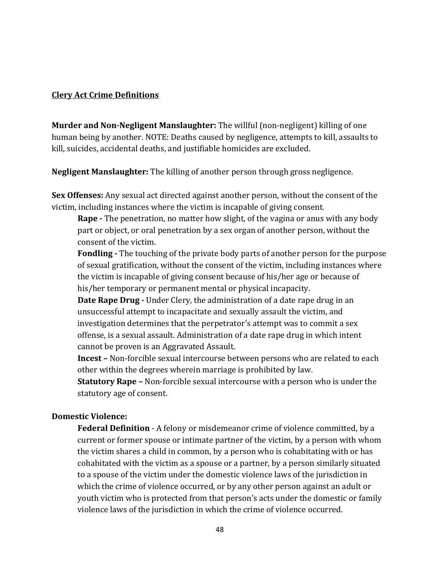#### **Clery Act Crime Definitions**

**Murder and Non-Negligent Manslaughter:** The willful (non-negligent) killing of one human being by another. NOTE: Deaths caused by negligence, attempts to kill, assaults to kill, suicides, accidental deaths, and justifiable homicides are excluded.

**Negligent Manslaughter:** The killing of another person through gross negligence.

**Sex Offenses:** Any sexual act directed against another person, without the consent of the victim, including instances where the victim is incapable of giving consent.

**Rape** - The penetration, no matter how slight, of the vagina or anus with any body part or object, or oral penetration by a sex organ of another person, without the consent of the victim.

**Fondling** - The touching of the private body parts of another person for the purpose of sexual gratification, without the consent of the victim, including instances where the victim is incapable of giving consent because of his/her age or because of his/her temporary or permanent mental or physical incapacity.

**Date Rape Drug** - Under Clery, the administration of a date rape drug in an unsuccessful attempt to incapacitate and sexually assault the victim, and investigation determines that the perpetrator's attempt was to commit a sex offense, is a sexual assault. Administration of a date rape drug in which intent cannot be proven is an Aggravated Assault.

**Incest** – Non-forcible sexual intercourse between persons who are related to each other within the degrees wherein marriage is prohibited by law.

**Statutory Rape** – Non-forcible sexual intercourse with a person who is under the statutory age of consent.

#### **Domestic Violence:**

**Federal Definition** - A felony or misdemeanor crime of violence committed, by a current or former spouse or intimate partner of the victim, by a person with whom the victim shares a child in common, by a person who is cohabitating with or has cohabitated with the victim as a spouse or a partner, by a person similarly situated to a spouse of the victim under the domestic violence laws of the jurisdiction in which the crime of violence occurred, or by any other person against an adult or youth victim who is protected from that person's acts under the domestic or family violence laws of the jurisdiction in which the crime of violence occurred.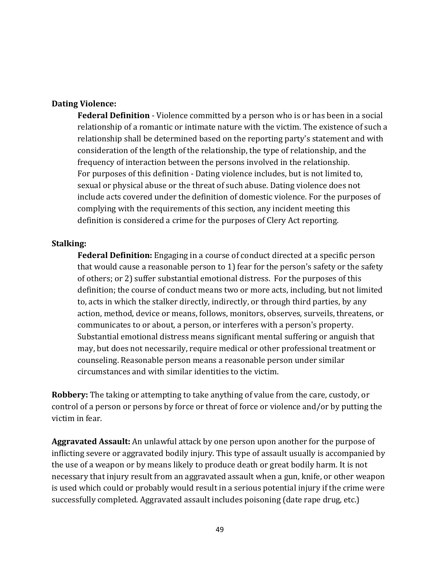#### **Dating Violence:**

**Federal Definition** - Violence committed by a person who is or has been in a social relationship of a romantic or intimate nature with the victim. The existence of such a relationship shall be determined based on the reporting party's statement and with consideration of the length of the relationship, the type of relationship, and the frequency of interaction between the persons involved in the relationship. For purposes of this definition - Dating violence includes, but is not limited to, sexual or physical abuse or the threat of such abuse. Dating violence does not include acts covered under the definition of domestic violence. For the purposes of complying with the requirements of this section, any incident meeting this definition is considered a crime for the purposes of Clery Act reporting.

#### **Stalking:**

**Federal Definition:** Engaging in a course of conduct directed at a specific person that would cause a reasonable person to 1) fear for the person's safety or the safety of others; or 2) suffer substantial emotional distress. For the purposes of this definition; the course of conduct means two or more acts, including, but not limited to, acts in which the stalker directly, indirectly, or through third parties, by any action, method, device or means, follows, monitors, observes, surveils, threatens, or communicates to or about, a person, or interferes with a person's property. Substantial emotional distress means significant mental suffering or anguish that may, but does not necessarily, require medical or other professional treatment or counseling. Reasonable person means a reasonable person under similar circumstances and with similar identities to the victim.

**Robbery:** The taking or attempting to take anything of value from the care, custody, or control of a person or persons by force or threat of force or violence and/or by putting the victim in fear.

**Aggravated Assault:** An unlawful attack by one person upon another for the purpose of inflicting severe or aggravated bodily injury. This type of assault usually is accompanied by the use of a weapon or by means likely to produce death or great bodily harm. It is not necessary that injury result from an aggravated assault when a gun, knife, or other weapon is used which could or probably would result in a serious potential injury if the crime were successfully completed. Aggravated assault includes poisoning (date rape drug, etc.)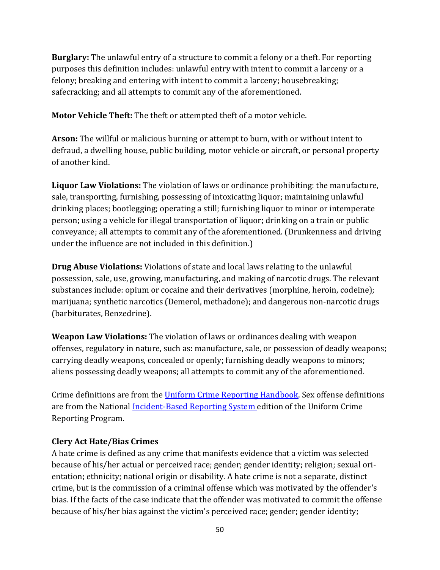**Burglary:** The unlawful entry of a structure to commit a felony or a theft. For reporting purposes this definition includes: unlawful entry with intent to commit a larceny or a felony; breaking and entering with intent to commit a larceny; housebreaking; safecracking; and all attempts to commit any of the aforementioned.

**Motor Vehicle Theft:** The theft or attempted theft of a motor vehicle.

**Arson:** The willful or malicious burning or attempt to burn, with or without intent to defraud, a dwelling house, public building, motor vehicle or aircraft, or personal property of another kind.

**Liquor Law Violations:** The violation of laws or ordinance prohibiting: the manufacture, sale, transporting, furnishing, possessing of intoxicating liquor; maintaining unlawful drinking places; bootlegging; operating a still; furnishing liquor to minor or intemperate person; using a vehicle for illegal transportation of liquor; drinking on a train or public conveyance; all attempts to commit any of the aforementioned. (Drunkenness and driving under the influence are not included in this definition.)

**Drug Abuse Violations:** Violations of state and local laws relating to the unlawful possession, sale, use, growing, manufacturing, and making of narcotic drugs. The relevant substances include: opium or cocaine and their derivatives (morphine, heroin, codeine); marijuana; synthetic narcotics (Demerol, methadone); and dangerous non-narcotic drugs (barbiturates, Benzedrine).

**Weapon Law Violations:** The violation of laws or ordinances dealing with weapon offenses, regulatory in nature, such as: manufacture, sale, or possession of deadly weapons; carrying deadly weapons, concealed or openly; furnishing deadly weapons to minors; aliens possessing deadly weapons; all attempts to commit any of the aforementioned.

Crime definitions are from the Uniform Crime Reporting Handbook. Sex offense definitions are from the National *Incident-Based Reporting System edition* of the Uniform Crime Reporting Program.

## **Clery Act Hate/Bias Crimes**

A hate crime is defined as any crime that manifests evidence that a victim was selected because of his/her actual or perceived race; gender; gender identity; religion; sexual orientation; ethnicity; national origin or disability. A hate crime is not a separate, distinct crime, but is the commission of a criminal offense which was motivated by the offender's bias. If the facts of the case indicate that the offender was motivated to commit the offense because of his/her bias against the victim's perceived race; gender; gender identity;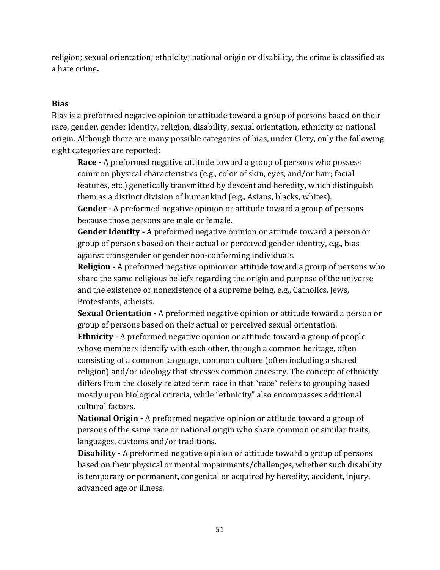religion; sexual orientation; ethnicity; national origin or disability, the crime is classified as a hate crime**.** 

## **Bias**

Bias is a preformed negative opinion or attitude toward a group of persons based on their race, gender, gender identity, religion, disability, sexual orientation, ethnicity or national origin. Although there are many possible categories of bias, under Clery, only the following eight categories are reported:

**Race** - A preformed negative attitude toward a group of persons who possess common physical characteristics (e.g., color of skin, eyes, and/or hair; facial features, etc.) genetically transmitted by descent and heredity, which distinguish them as a distinct division of humankind (e.g., Asians, blacks, whites).

**Gender** - A preformed negative opinion or attitude toward a group of persons because those persons are male or female.

**Gender Identity** - A preformed negative opinion or attitude toward a person or group of persons based on their actual or perceived gender identity, e.g., bias against transgender or gender non-conforming individuals.

**Religion** - A preformed negative opinion or attitude toward a group of persons who share the same religious beliefs regarding the origin and purpose of the universe and the existence or nonexistence of a supreme being, e.g., Catholics, Jews, Protestants, atheists.

**Sexual Orientation** - A preformed negative opinion or attitude toward a person or group of persons based on their actual or perceived sexual orientation.

**Ethnicity** - A preformed negative opinion or attitude toward a group of people whose members identify with each other, through a common heritage, often consisting of a common language, common culture (often including a shared religion) and/or ideology that stresses common ancestry. The concept of ethnicity differs from the closely related term race in that "race" refers to grouping based mostly upon biological criteria, while "ethnicity" also encompasses additional cultural factors.

**National Origin -** A preformed negative opinion or attitude toward a group of persons of the same race or national origin who share common or similar traits, languages, customs and/or traditions.

**Disability** - A preformed negative opinion or attitude toward a group of persons based on their physical or mental impairments/challenges, whether such disability is temporary or permanent, congenital or acquired by heredity, accident, injury, advanced age or illness.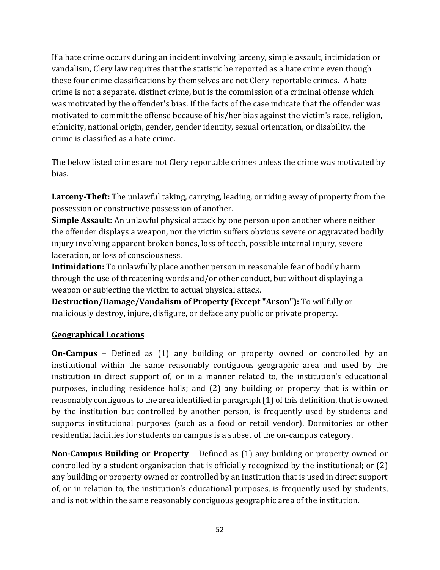If a hate crime occurs during an incident involving larceny, simple assault, intimidation or vandalism, Clery law requires that the statistic be reported as a hate crime even though these four crime classifications by themselves are not Clery-reportable crimes. A hate crime is not a separate, distinct crime, but is the commission of a criminal offense which was motivated by the offender's bias. If the facts of the case indicate that the offender was motivated to commit the offense because of his/her bias against the victim's race, religion, ethnicity, national origin, gender, gender identity, sexual orientation, or disability, the crime is classified as a hate crime.

The below listed crimes are not Clery reportable crimes unless the crime was motivated by bias. 

**Larceny-Theft:** The unlawful taking, carrying, leading, or riding away of property from the possession or constructive possession of another.

**Simple Assault:** An unlawful physical attack by one person upon another where neither the offender displays a weapon, nor the victim suffers obvious severe or aggravated bodily injury involving apparent broken bones, loss of teeth, possible internal injury, severe laceration, or loss of consciousness.

**Intimidation:** To unlawfully place another person in reasonable fear of bodily harm through the use of threatening words and/or other conduct, but without displaying a weapon or subjecting the victim to actual physical attack.

**Destruction/Damage/Vandalism of Property (Except "Arson"):** To willfully or maliciously destroy, injure, disfigure, or deface any public or private property.

## **Geographical Locations**

**On-Campus** – Defined as (1) any building or property owned or controlled by an institutional within the same reasonably contiguous geographic area and used by the institution in direct support of, or in a manner related to, the institution's educational purposes, including residence halls; and (2) any building or property that is within or reasonably contiguous to the area identified in paragraph (1) of this definition, that is owned by the institution but controlled by another person, is frequently used by students and supports institutional purposes (such as a food or retail vendor). Dormitories or other residential facilities for students on campus is a subset of the on-campus category.

**Non-Campus Building or Property** – Defined as (1) any building or property owned or controlled by a student organization that is officially recognized by the institutional; or  $(2)$ any building or property owned or controlled by an institution that is used in direct support of, or in relation to, the institution's educational purposes, is frequently used by students, and is not within the same reasonably contiguous geographic area of the institution.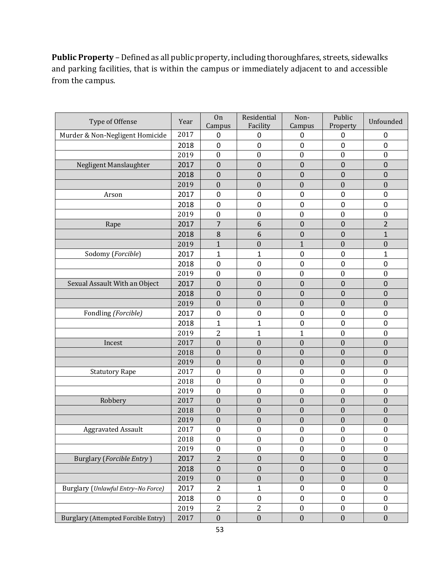**Public Property** - Defined as all public property, including thoroughfares, streets, sidewalks and parking facilities, that is within the campus or immediately adjacent to and accessible from the campus.

| Type of Offense                            | Year | On<br>Campus     | Residential<br>Facility | Non-<br>Campus   | Public<br>Property | Unfounded        |
|--------------------------------------------|------|------------------|-------------------------|------------------|--------------------|------------------|
| Murder & Non-Negligent Homicide            | 2017 | 0                | 0                       | 0                | 0                  | 0                |
|                                            | 2018 | $\mathbf 0$      | 0                       | $\mathbf 0$      | $\mathbf 0$        | 0                |
|                                            | 2019 | $\boldsymbol{0}$ | $\boldsymbol{0}$        | $\boldsymbol{0}$ | $\boldsymbol{0}$   | $\boldsymbol{0}$ |
| Negligent Manslaughter                     | 2017 | $\mathbf 0$      | $\mathbf 0$             | $\pmb{0}$        | $\mathbf 0$        | $\pmb{0}$        |
|                                            | 2018 | $\mathbf 0$      | $\overline{0}$          | $\mathbf 0$      | $\mathbf 0$        | 0                |
|                                            | 2019 | $\boldsymbol{0}$ | $\boldsymbol{0}$        | $\boldsymbol{0}$ | $\boldsymbol{0}$   | $\boldsymbol{0}$ |
| Arson                                      | 2017 | 0                | 0                       | 0                | 0                  | $\pmb{0}$        |
|                                            | 2018 | $\mathbf 0$      | 0                       | $\mathbf 0$      | 0                  | 0                |
|                                            | 2019 | $\boldsymbol{0}$ | $\boldsymbol{0}$        | $\boldsymbol{0}$ | $\boldsymbol{0}$   | $\boldsymbol{0}$ |
| Rape                                       | 2017 | $\overline{7}$   | 6                       | $\mathbf 0$      | $\mathbf 0$        | $\overline{2}$   |
|                                            | 2018 | 8                | 6                       | $\mathbf 0$      | $\mathbf 0$        | $\mathbf{1}$     |
|                                            | 2019 | $\mathbf{1}$     | $\overline{0}$          | $\mathbf{1}$     | $\mathbf{0}$       | $\boldsymbol{0}$ |
| Sodomy (Forcible)                          | 2017 | $\mathbf 1$      | $\mathbf{1}$            | $\mathbf 0$      | $\mathbf 0$        | $\mathbf{1}$     |
|                                            | 2018 | $\mathbf 0$      | 0                       | 0                | $\mathbf 0$        | $\pmb{0}$        |
|                                            | 2019 | $\boldsymbol{0}$ | $\mathbf{0}$            | $\boldsymbol{0}$ | $\boldsymbol{0}$   | $\boldsymbol{0}$ |
| Sexual Assault With an Object              | 2017 | $\mathbf 0$      | $\mathbf 0$             | $\mathbf 0$      | $\overline{0}$     | $\mathbf 0$      |
|                                            | 2018 | $\mathbf 0$      | $\mathsf 0$             | $\pmb{0}$        | $\mathbf 0$        | $\pmb{0}$        |
|                                            | 2019 | $\boldsymbol{0}$ | $\boldsymbol{0}$        | $\boldsymbol{0}$ | $\boldsymbol{0}$   | $\boldsymbol{0}$ |
| Fondling (Forcible)                        | 2017 | $\mathbf 0$      | 0                       | $\mathbf 0$      | 0                  | 0                |
|                                            | 2018 | 1                | $\overline{1}$          | $\mathbf 0$      | 0                  | 0                |
|                                            | 2019 | $\overline{2}$   | $\mathbf 1$             | $\mathbf{1}$     | $\boldsymbol{0}$   | $\boldsymbol{0}$ |
| Incest                                     | 2017 | $\boldsymbol{0}$ | $\mathbf{0}$            | $\boldsymbol{0}$ | $\boldsymbol{0}$   | $\boldsymbol{0}$ |
|                                            | 2018 | $\boldsymbol{0}$ | $\overline{0}$          | $\boldsymbol{0}$ | $\overline{0}$     | $\boldsymbol{0}$ |
|                                            | 2019 | $\boldsymbol{0}$ | $\mathbf{0}$            | $\boldsymbol{0}$ | $\mathbf{0}$       | $\boldsymbol{0}$ |
| <b>Statutory Rape</b>                      | 2017 | $\boldsymbol{0}$ | $\boldsymbol{0}$        | $\boldsymbol{0}$ | $\boldsymbol{0}$   | $\boldsymbol{0}$ |
|                                            | 2018 | $\boldsymbol{0}$ | $\boldsymbol{0}$        | $\boldsymbol{0}$ | $\mathbf{0}$       | $\boldsymbol{0}$ |
|                                            | 2019 | $\boldsymbol{0}$ | $\boldsymbol{0}$        | $\boldsymbol{0}$ | $\boldsymbol{0}$   | $\boldsymbol{0}$ |
| Robbery                                    | 2017 | $\boldsymbol{0}$ | $\boldsymbol{0}$        | $\boldsymbol{0}$ | $\boldsymbol{0}$   | $\boldsymbol{0}$ |
|                                            | 2018 | $\boldsymbol{0}$ | $\boldsymbol{0}$        | $\boldsymbol{0}$ | $\boldsymbol{0}$   | $\boldsymbol{0}$ |
|                                            | 2019 | $\boldsymbol{0}$ | $\boldsymbol{0}$        | $\boldsymbol{0}$ | $\boldsymbol{0}$   | $\boldsymbol{0}$ |
| <b>Aggravated Assault</b>                  | 2017 | $\boldsymbol{0}$ | $\boldsymbol{0}$        | $\boldsymbol{0}$ | $\boldsymbol{0}$   | $\boldsymbol{0}$ |
|                                            | 2018 | $\boldsymbol{0}$ | $\boldsymbol{0}$        | $\boldsymbol{0}$ | $\boldsymbol{0}$   | $\boldsymbol{0}$ |
|                                            | 2019 | $\boldsymbol{0}$ | $\boldsymbol{0}$        | $\boldsymbol{0}$ | $\boldsymbol{0}$   | $\boldsymbol{0}$ |
| <b>Burglary (Forcible Entry)</b>           | 2017 | $\overline{2}$   | $\pmb{0}$               | $\pmb{0}$        | $\mathsf 0$        | $\pmb{0}$        |
|                                            | 2018 | $\mathbf 0$      | $\mathbf 0$             | $\mathbf 0$      | $\mathbf 0$        | $\boldsymbol{0}$ |
|                                            | 2019 | $\boldsymbol{0}$ | $\boldsymbol{0}$        | $\boldsymbol{0}$ | $\boldsymbol{0}$   | $\boldsymbol{0}$ |
| Burglary (Unlawful Entry-No Force)         | 2017 | $\overline{2}$   | $\mathbf{1}$            | $\pmb{0}$        | $\pmb{0}$          | $\pmb{0}$        |
|                                            | 2018 | $\mathbf 0$      | 0                       | $\pmb{0}$        | 0                  | 0                |
|                                            | 2019 | $\sqrt{2}$       | $\overline{c}$          | $\boldsymbol{0}$ | $\boldsymbol{0}$   | $\boldsymbol{0}$ |
| <b>Burglary (Attempted Forcible Entry)</b> | 2017 | $\boldsymbol{0}$ | $\boldsymbol{0}$        | $\boldsymbol{0}$ | $\boldsymbol{0}$   | $\boldsymbol{0}$ |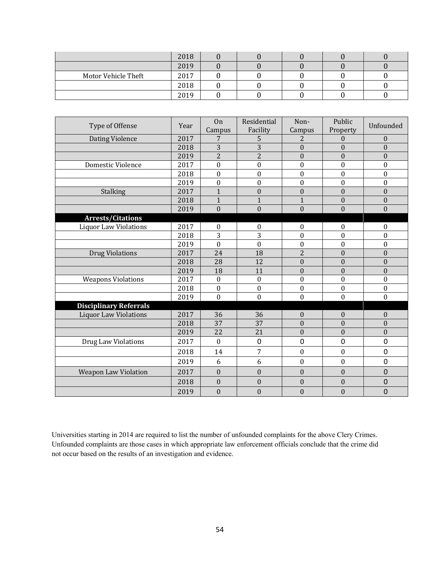|                     | 2018 |  |  |  |
|---------------------|------|--|--|--|
|                     | 2019 |  |  |  |
| Motor Vehicle Theft | 2017 |  |  |  |
|                     | 2018 |  |  |  |
|                     | 2019 |  |  |  |

| Type of Offense               | Year | On<br>Campus     | Residential<br>Facility | Non-<br>Campus   | Public<br>Property | Unfounded        |
|-------------------------------|------|------------------|-------------------------|------------------|--------------------|------------------|
| Dating Violence               | 2017 | 7                | 5                       | 2                | $\overline{0}$     | $\boldsymbol{0}$ |
|                               | 2018 | 3                | 3                       | $\mathbf{0}$     | $\Omega$           | $\mathbf{0}$     |
|                               | 2019 | $\overline{2}$   | $\overline{2}$          | $\boldsymbol{0}$ | $\overline{0}$     | $\boldsymbol{0}$ |
| Domestic Violence             | 2017 | $\boldsymbol{0}$ | $\bf{0}$                | $\boldsymbol{0}$ | $\boldsymbol{0}$   | $\boldsymbol{0}$ |
|                               | 2018 | $\mathbf{0}$     | $\overline{0}$          | $\mathbf{0}$     | $\mathbf{0}$       | $\boldsymbol{0}$ |
|                               | 2019 | $\boldsymbol{0}$ | $\bf{0}$                | $\boldsymbol{0}$ | $\mathbf{0}$       | $\boldsymbol{0}$ |
| Stalking                      | 2017 | 1                | $\boldsymbol{0}$        | $\boldsymbol{0}$ | $\overline{0}$     | $\boldsymbol{0}$ |
|                               | 2018 | $\mathbf{1}$     | $\mathbf{1}$            | $\mathbf{1}$     | $\overline{0}$     | $\boldsymbol{0}$ |
|                               | 2019 | $\theta$         | $\mathbf{0}$            | $\boldsymbol{0}$ | $\overline{0}$     | $\boldsymbol{0}$ |
| <b>Arrests/Citations</b>      |      |                  |                         |                  |                    |                  |
| <b>Liquor Law Violations</b>  | 2017 | $\mathbf{0}$     | 0                       | $\boldsymbol{0}$ | $\mathbf{0}$       | $\boldsymbol{0}$ |
|                               | 2018 | 3                | 3                       | $\boldsymbol{0}$ | $\mathbf{0}$       | $\boldsymbol{0}$ |
|                               | 2019 | $\boldsymbol{0}$ | $\boldsymbol{0}$        | $\boldsymbol{0}$ | $\boldsymbol{0}$   | $\boldsymbol{0}$ |
| <b>Drug Violations</b>        | 2017 | 24               | 18                      | $\overline{2}$   | $\overline{0}$     | $\boldsymbol{0}$ |
|                               | 2018 | 28               | 12                      | $\mathbf{0}$     | $\overline{0}$     | $\boldsymbol{0}$ |
|                               | 2019 | 18               | 11                      | $\boldsymbol{0}$ | $\overline{0}$     | $\mathbf{0}$     |
| <b>Weapons Violations</b>     | 2017 | $\boldsymbol{0}$ | $\overline{0}$          | $\boldsymbol{0}$ | $\mathbf{0}$       | $\boldsymbol{0}$ |
|                               | 2018 | $\boldsymbol{0}$ | $\boldsymbol{0}$        | $\boldsymbol{0}$ | $\boldsymbol{0}$   | $\boldsymbol{0}$ |
|                               | 2019 | $\boldsymbol{0}$ | $\boldsymbol{0}$        | $\boldsymbol{0}$ | $\boldsymbol{0}$   | $\boldsymbol{0}$ |
| <b>Disciplinary Referrals</b> |      |                  |                         |                  |                    |                  |
| <b>Liquor Law Violations</b>  | 2017 | 36               | 36                      | $\boldsymbol{0}$ | $\mathbf{0}$       | $\mathbf{0}$     |
|                               | 2018 | 37               | 37                      | $\boldsymbol{0}$ | $\theta$           | $\boldsymbol{0}$ |
|                               | 2019 | 22               | 21                      | $\boldsymbol{0}$ | $\overline{0}$     | $\boldsymbol{0}$ |
| Drug Law Violations           | 2017 | $\theta$         | 0                       | $\mathbf 0$      | 0                  | 0                |
|                               | 2018 | 14               | 7                       | $\boldsymbol{0}$ | $\boldsymbol{0}$   | 0                |
|                               | 2019 | 6                | 6                       | $\boldsymbol{0}$ | $\mathbf{0}$       | 0                |
| <b>Weapon Law Violation</b>   | 2017 | $\boldsymbol{0}$ | $\boldsymbol{0}$        | $\boldsymbol{0}$ | $\boldsymbol{0}$   | 0                |
|                               | 2018 | $\theta$         | $\overline{0}$          | $\boldsymbol{0}$ | $\overline{0}$     | $\mathbf 0$      |
|                               | 2019 | $\boldsymbol{0}$ | $\boldsymbol{0}$        | $\boldsymbol{0}$ | $\boldsymbol{0}$   | $\mathbf 0$      |

Universities starting in 2014 are required to list the number of unfounded complaints for the above Clery Crimes. Unfounded complaints are those cases in which appropriate law enforcement officials conclude that the crime did not occur based on the results of an investigation and evidence.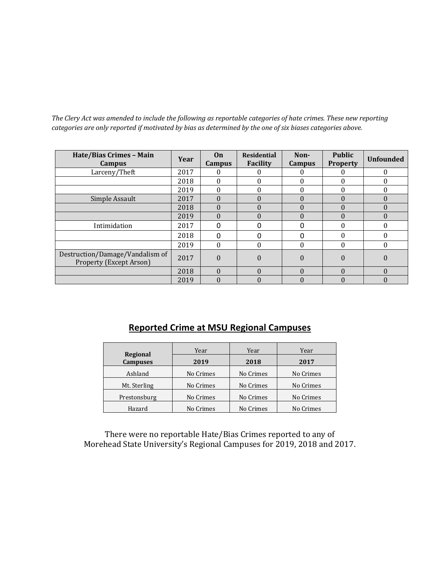The Clery Act was amended to include the following as reportable categories of hate crimes. These new reporting *categories are only reported if motivated by bias as determined by the one of six biases categories above.* 

| Hate/Bias Crimes - Main<br><b>Campus</b>                          | Year | On<br><b>Campus</b> | <b>Residential</b><br>Facility | Non-<br><b>Campus</b> | <b>Public</b><br><b>Property</b> | <b>Unfounded</b> |
|-------------------------------------------------------------------|------|---------------------|--------------------------------|-----------------------|----------------------------------|------------------|
| Larceny/Theft                                                     | 2017 | 0                   |                                | 0                     |                                  | 0                |
|                                                                   | 2018 | $\Omega$            |                                | $\theta$              |                                  | $\Omega$         |
|                                                                   | 2019 | $\Omega$            |                                | $\Omega$              |                                  | 0                |
| Simple Assault                                                    | 2017 | $\Omega$            | $\Omega$                       | $\Omega$              |                                  | $\Omega$         |
|                                                                   | 2018 | $\Omega$            | $\Omega$                       | $\Omega$              | 0                                | $\Omega$         |
|                                                                   | 2019 | $\theta$            | $\left( \right)$               | $\theta$              | $\Omega$                         | $\Omega$         |
| Intimidation                                                      | 2017 | O                   |                                | $\Omega$              |                                  | 0                |
|                                                                   | 2018 | $\Omega$            |                                | 0                     |                                  | 0                |
|                                                                   | 2019 | $\Omega$            |                                | $\Omega$              |                                  | $\Omega$         |
| Destruction/Damage/Vandalism of<br><b>Property (Except Arson)</b> | 2017 | $\theta$            | $\Omega$                       | $\theta$              | $\Omega$                         | 0                |
|                                                                   | 2018 | $\Omega$            | $\Omega$                       | $\Omega$              | $\Omega$                         | $\Omega$         |
|                                                                   | 2019 | $\theta$            |                                | $\theta$              |                                  |                  |

## **Reported Crime at MSU Regional Campuses**

| <b>Regional</b> | Year      | Year      | Year      |  |  |
|-----------------|-----------|-----------|-----------|--|--|
| <b>Campuses</b> | 2019      | 2018      | 2017      |  |  |
| Ashland         | No Crimes | No Crimes | No Crimes |  |  |
| Mt. Sterling    | No Crimes | No Crimes | No Crimes |  |  |
| Prestonsburg    | No Crimes | No Crimes | No Crimes |  |  |
| Hazard          | No Crimes | No Crimes | No Crimes |  |  |

There were no reportable Hate/Bias Crimes reported to any of Morehead State University's Regional Campuses for 2019, 2018 and 2017.